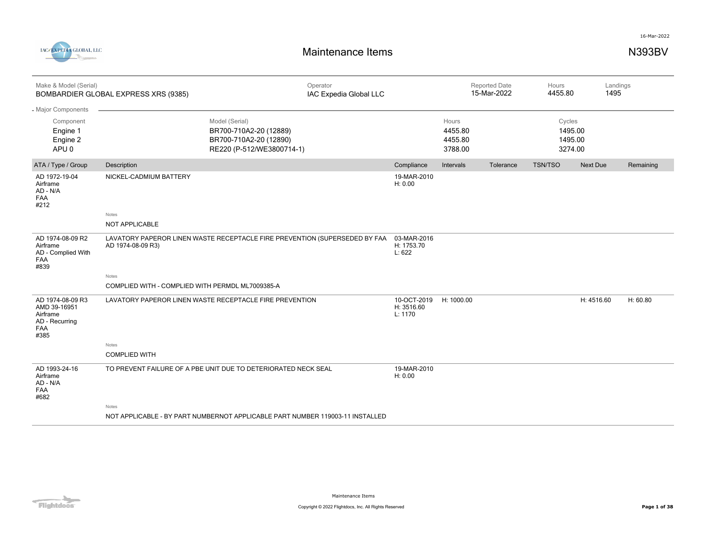



| Make & Model (Serial)                                                         | BOMBARDIER GLOBAL EXPRESS XRS (9385)                                                            | Operator<br>IAC Expedia Global LLC |                                      |                                        | <b>Reported Date</b><br>15-Mar-2022 | Hours<br>4455.80 |                               | Landings<br>1495 |
|-------------------------------------------------------------------------------|-------------------------------------------------------------------------------------------------|------------------------------------|--------------------------------------|----------------------------------------|-------------------------------------|------------------|-------------------------------|------------------|
| - Major Components                                                            |                                                                                                 |                                    |                                      |                                        |                                     |                  |                               |                  |
| Component<br>Engine 1<br>Engine 2<br>APU <sub>0</sub>                         | Model (Serial)<br>BR700-710A2-20 (12889)<br>BR700-710A2-20 (12890)<br>RE220 (P-512/WE3800714-1) |                                    |                                      | Hours<br>4455.80<br>4455.80<br>3788.00 |                                     | Cycles           | 1495.00<br>1495.00<br>3274.00 |                  |
| ATA / Type / Group                                                            | Description                                                                                     |                                    | Compliance                           | Intervals                              | Tolerance                           | <b>TSN/TSO</b>   | <b>Next Due</b>               | Remaining        |
| AD 1972-19-04<br>Airframe<br>AD - N/A<br>FAA<br>#212                          | NICKEL-CADMIUM BATTERY                                                                          |                                    | 19-MAR-2010<br>H: 0.00               |                                        |                                     |                  |                               |                  |
|                                                                               | Notes                                                                                           |                                    |                                      |                                        |                                     |                  |                               |                  |
|                                                                               | <b>NOT APPLICABLE</b>                                                                           |                                    |                                      |                                        |                                     |                  |                               |                  |
| AD 1974-08-09 R2<br>Airframe<br>AD - Complied With<br>FAA<br>#839             | LAVATORY PAPEROR LINEN WASTE RECEPTACLE FIRE PREVENTION (SUPERSEDED BY FAA<br>AD 1974-08-09 R3) |                                    | 03-MAR-2016<br>H: 1753.70<br>L: 622  |                                        |                                     |                  |                               |                  |
|                                                                               | Notes                                                                                           |                                    |                                      |                                        |                                     |                  |                               |                  |
|                                                                               | COMPLIED WITH - COMPLIED WITH PERMDL ML7009385-A                                                |                                    |                                      |                                        |                                     |                  |                               |                  |
| AD 1974-08-09 R3<br>AMD 39-16951<br>Airframe<br>AD - Recurring<br>FAA<br>#385 | LAVATORY PAPEROR LINEN WASTE RECEPTACLE FIRE PREVENTION                                         |                                    | 10-OCT-2019<br>H: 3516.60<br>L: 1170 | H: 1000.00                             |                                     |                  | H: 4516.60                    | H: 60.80         |
|                                                                               | Notes                                                                                           |                                    |                                      |                                        |                                     |                  |                               |                  |
|                                                                               | <b>COMPLIED WITH</b>                                                                            |                                    |                                      |                                        |                                     |                  |                               |                  |
| AD 1993-24-16<br>Airframe<br>AD - N/A<br>FAA<br>#682                          | TO PREVENT FAILURE OF A PBE UNIT DUE TO DETERIORATED NECK SEAL                                  |                                    | 19-MAR-2010<br>H: 0.00               |                                        |                                     |                  |                               |                  |
|                                                                               | Notes                                                                                           |                                    |                                      |                                        |                                     |                  |                               |                  |
|                                                                               | NOT APPLICABLE - BY PART NUMBERNOT APPLICABLE PART NUMBER 119003-11 INSTALLED                   |                                    |                                      |                                        |                                     |                  |                               |                  |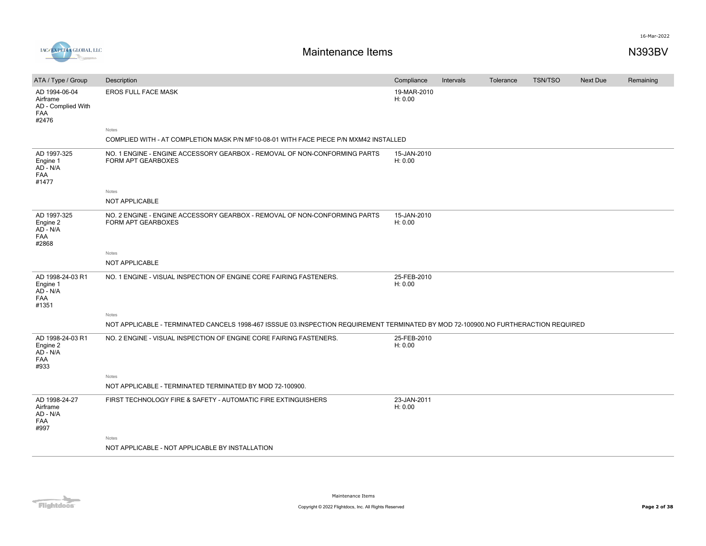

| ATA / Type / Group                                              | Description                                                                                                                         | Compliance             | Intervals | Tolerance | <b>TSN/TSO</b> | <b>Next Due</b> | Remaining |
|-----------------------------------------------------------------|-------------------------------------------------------------------------------------------------------------------------------------|------------------------|-----------|-----------|----------------|-----------------|-----------|
| AD 1994-06-04<br>Airframe<br>AD - Complied With<br>FAA<br>#2476 | <b>EROS FULL FACE MASK</b>                                                                                                          | 19-MAR-2010<br>H: 0.00 |           |           |                |                 |           |
|                                                                 | Notes                                                                                                                               |                        |           |           |                |                 |           |
|                                                                 | COMPLIED WITH - AT COMPLETION MASK P/N MF10-08-01 WITH FACE PIECE P/N MXM42 INSTALLED                                               |                        |           |           |                |                 |           |
| AD 1997-325<br>Engine 1<br>AD - N/A<br><b>FAA</b><br>#1477      | NO. 1 ENGINE - ENGINE ACCESSORY GEARBOX - REMOVAL OF NON-CONFORMING PARTS<br><b>FORM APT GEARBOXES</b>                              | 15-JAN-2010<br>H: 0.00 |           |           |                |                 |           |
|                                                                 | Notes                                                                                                                               |                        |           |           |                |                 |           |
|                                                                 | <b>NOT APPLICABLE</b>                                                                                                               |                        |           |           |                |                 |           |
| AD 1997-325<br>Engine 2<br>AD - N/A<br>FAA<br>#2868             | NO. 2 ENGINE - ENGINE ACCESSORY GEARBOX - REMOVAL OF NON-CONFORMING PARTS<br>FORM APT GEARBOXES                                     | 15-JAN-2010<br>H: 0.00 |           |           |                |                 |           |
|                                                                 | Notes                                                                                                                               |                        |           |           |                |                 |           |
|                                                                 | NOT APPLICABLE                                                                                                                      |                        |           |           |                |                 |           |
| AD 1998-24-03 R1<br>Engine 1<br>AD - N/A<br><b>FAA</b><br>#1351 | NO. 1 ENGINE - VISUAL INSPECTION OF ENGINE CORE FAIRING FASTENERS.                                                                  | 25-FEB-2010<br>H: 0.00 |           |           |                |                 |           |
|                                                                 | Notes                                                                                                                               |                        |           |           |                |                 |           |
|                                                                 | NOT APPLICABLE - TERMINATED CANCELS 1998-467 ISSSUE 03.INSPECTION REQUIREMENT TERMINATED BY MOD 72-100900.NO FURTHERACTION REQUIRED |                        |           |           |                |                 |           |
| AD 1998-24-03 R1<br>Engine 2<br>AD - N/A<br><b>FAA</b><br>#933  | NO. 2 ENGINE - VISUAL INSPECTION OF ENGINE CORE FAIRING FASTENERS.                                                                  | 25-FEB-2010<br>H: 0.00 |           |           |                |                 |           |
|                                                                 | <b>Notes</b>                                                                                                                        |                        |           |           |                |                 |           |
|                                                                 | NOT APPLICABLE - TERMINATED TERMINATED BY MOD 72-100900.                                                                            |                        |           |           |                |                 |           |
| AD 1998-24-27<br>Airframe<br>AD - N/A<br><b>FAA</b><br>#997     | FIRST TECHNOLOGY FIRE & SAFETY - AUTOMATIC FIRE EXTINGUISHERS                                                                       | 23-JAN-2011<br>H: 0.00 |           |           |                |                 |           |
|                                                                 | <b>Notes</b>                                                                                                                        |                        |           |           |                |                 |           |
|                                                                 | NOT APPLICABLE - NOT APPLICABLE BY INSTALLATION                                                                                     |                        |           |           |                |                 |           |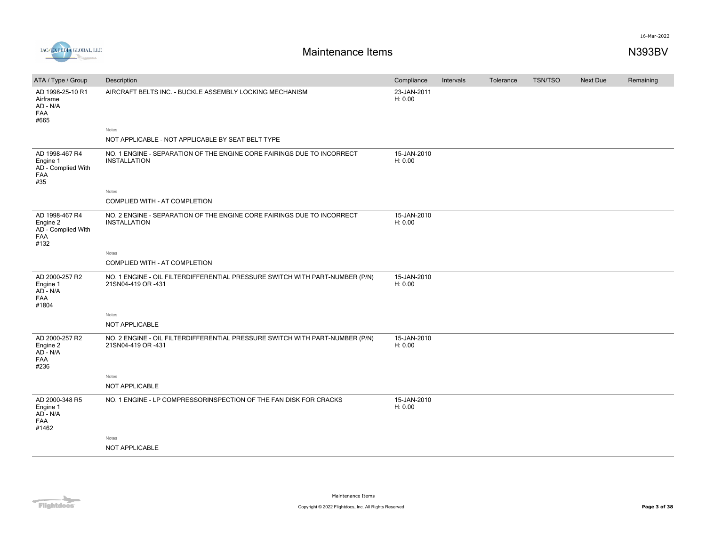

| ATA / Type / Group                                                     | Description                                                                                        | Compliance             | Intervals | Tolerance | <b>TSN/TSO</b> | Next Due | Remaining |
|------------------------------------------------------------------------|----------------------------------------------------------------------------------------------------|------------------------|-----------|-----------|----------------|----------|-----------|
| AD 1998-25-10 R1<br>Airframe<br>AD - N/A<br><b>FAA</b><br>#665         | AIRCRAFT BELTS INC. - BUCKLE ASSEMBLY LOCKING MECHANISM                                            | 23-JAN-2011<br>H: 0.00 |           |           |                |          |           |
|                                                                        | Notes                                                                                              |                        |           |           |                |          |           |
|                                                                        | NOT APPLICABLE - NOT APPLICABLE BY SEAT BELT TYPE                                                  |                        |           |           |                |          |           |
| AD 1998-467 R4<br>Engine 1<br>AD - Complied With<br><b>FAA</b><br>#35  | NO. 1 ENGINE - SEPARATION OF THE ENGINE CORE FAIRINGS DUE TO INCORRECT<br><b>INSTALLATION</b>      | 15-JAN-2010<br>H: 0.00 |           |           |                |          |           |
|                                                                        | Notes                                                                                              |                        |           |           |                |          |           |
|                                                                        | COMPLIED WITH - AT COMPLETION                                                                      |                        |           |           |                |          |           |
| AD 1998-467 R4<br>Engine 2<br>AD - Complied With<br><b>FAA</b><br>#132 | NO. 2 ENGINE - SEPARATION OF THE ENGINE CORE FAIRINGS DUE TO INCORRECT<br><b>INSTALLATION</b>      | 15-JAN-2010<br>H: 0.00 |           |           |                |          |           |
|                                                                        | Notes                                                                                              |                        |           |           |                |          |           |
|                                                                        | COMPLIED WITH - AT COMPLETION                                                                      |                        |           |           |                |          |           |
| AD 2000-257 R2<br>Engine 1<br>AD - N/A<br><b>FAA</b><br>#1804          | NO. 1 ENGINE - OIL FILTERDIFFERENTIAL PRESSURE SWITCH WITH PART-NUMBER (P/N)<br>21SN04-419 OR -431 | 15-JAN-2010<br>H: 0.00 |           |           |                |          |           |
|                                                                        | Notes                                                                                              |                        |           |           |                |          |           |
|                                                                        | NOT APPLICABLE                                                                                     |                        |           |           |                |          |           |
| AD 2000-257 R2<br>Engine 2<br>AD - N/A<br><b>FAA</b><br>#236           | NO. 2 ENGINE - OIL FILTERDIFFERENTIAL PRESSURE SWITCH WITH PART-NUMBER (P/N)<br>21SN04-419 OR -431 | 15-JAN-2010<br>H: 0.00 |           |           |                |          |           |
|                                                                        | Notes                                                                                              |                        |           |           |                |          |           |
|                                                                        | NOT APPLICABLE                                                                                     |                        |           |           |                |          |           |
| AD 2000-348 R5<br>Engine 1<br>AD - N/A<br><b>FAA</b><br>#1462          | NO. 1 ENGINE - LP COMPRESSORINSPECTION OF THE FAN DISK FOR CRACKS                                  | 15-JAN-2010<br>H: 0.00 |           |           |                |          |           |
|                                                                        | Notes                                                                                              |                        |           |           |                |          |           |
|                                                                        | <b>NOT APPLICABLE</b>                                                                              |                        |           |           |                |          |           |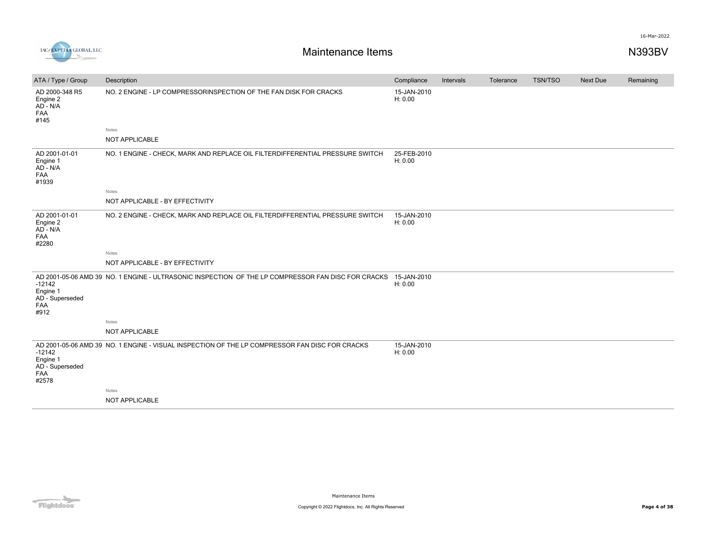



| ATA / Type / Group                                      | Description                                                                                        | Compliance             | Intervals | Tolerance | <b>TSN/TSO</b> | <b>Next Due</b> | Remaining |
|---------------------------------------------------------|----------------------------------------------------------------------------------------------------|------------------------|-----------|-----------|----------------|-----------------|-----------|
| AD 2000-348 R5<br>Engine 2<br>$AD - N/A$<br>FAA<br>#145 | NO. 2 ENGINE - LP COMPRESSORINSPECTION OF THE FAN DISK FOR CRACKS                                  | 15-JAN-2010<br>H: 0.00 |           |           |                |                 |           |
|                                                         | Notes                                                                                              |                        |           |           |                |                 |           |
|                                                         | NOT APPLICABLE                                                                                     |                        |           |           |                |                 |           |
| AD 2001-01-01<br>Engine 1<br>AD - N/A<br>FAA<br>#1939   | NO. 1 ENGINE - CHECK, MARK AND REPLACE OIL FILTERDIFFERENTIAL PRESSURE SWITCH                      | 25-FEB-2010<br>H: 0.00 |           |           |                |                 |           |
|                                                         | Notes                                                                                              |                        |           |           |                |                 |           |
|                                                         | NOT APPLICABLE - BY EFFECTIVITY                                                                    |                        |           |           |                |                 |           |
| AD 2001-01-01<br>Engine 2<br>AD - N/A<br>FAA<br>#2280   | NO. 2 ENGINE - CHECK, MARK AND REPLACE OIL FILTERDIFFERENTIAL PRESSURE SWITCH                      | 15-JAN-2010<br>H: 0.00 |           |           |                |                 |           |
|                                                         | Notes                                                                                              |                        |           |           |                |                 |           |
|                                                         | NOT APPLICABLE - BY EFFECTIVITY                                                                    |                        |           |           |                |                 |           |
| $-12142$<br>Engine 1<br>AD - Superseded<br>FAA<br>#912  | AD 2001-05-06 AMD 39 NO. 1 ENGINE - ULTRASONIC INSPECTION OF THE LP COMPRESSOR FAN DISC FOR CRACKS | 15-JAN-2010<br>H: 0.00 |           |           |                |                 |           |
|                                                         | Notes                                                                                              |                        |           |           |                |                 |           |
|                                                         | NOT APPLICABLE                                                                                     |                        |           |           |                |                 |           |
| $-12142$<br>Engine 1<br>AD - Superseded<br>FAA<br>#2578 | AD 2001-05-06 AMD 39 NO. 1 ENGINE - VISUAL INSPECTION OF THE LP COMPRESSOR FAN DISC FOR CRACKS     | 15-JAN-2010<br>H: 0.00 |           |           |                |                 |           |
|                                                         | Notes                                                                                              |                        |           |           |                |                 |           |
|                                                         | NOT APPLICABLE                                                                                     |                        |           |           |                |                 |           |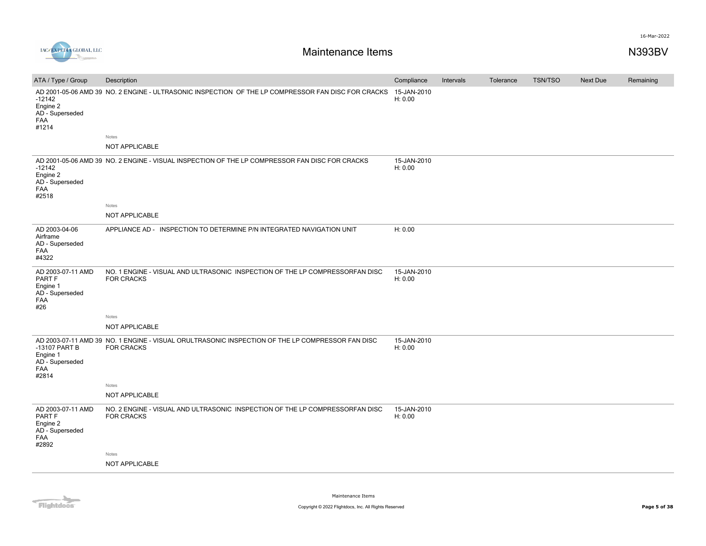

| ATA / Type / Group                                                                | Description                                                                                                           | Compliance             | Intervals | Tolerance | <b>TSN/TSO</b> | <b>Next Due</b> | Remaining |
|-----------------------------------------------------------------------------------|-----------------------------------------------------------------------------------------------------------------------|------------------------|-----------|-----------|----------------|-----------------|-----------|
| $-12142$<br>Engine 2<br>AD - Superseded<br>FAA<br>#1214                           | AD 2001-05-06 AMD 39 NO. 2 ENGINE - ULTRASONIC INSPECTION OF THE LP COMPRESSOR FAN DISC FOR CRACKS                    | 15-JAN-2010<br>H: 0.00 |           |           |                |                 |           |
|                                                                                   | Notes                                                                                                                 |                        |           |           |                |                 |           |
|                                                                                   | NOT APPLICABLE                                                                                                        |                        |           |           |                |                 |           |
| $-12142$<br>Engine 2<br>AD - Superseded<br>FAA<br>#2518                           | AD 2001-05-06 AMD 39 NO. 2 ENGINE - VISUAL INSPECTION OF THE LP COMPRESSOR FAN DISC FOR CRACKS                        | 15-JAN-2010<br>H: 0.00 |           |           |                |                 |           |
|                                                                                   | Notes                                                                                                                 |                        |           |           |                |                 |           |
|                                                                                   | NOT APPLICABLE                                                                                                        |                        |           |           |                |                 |           |
| AD 2003-04-06<br>Airframe<br>AD - Superseded<br>FAA<br>#4322                      | APPLIANCE AD - INSPECTION TO DETERMINE P/N INTEGRATED NAVIGATION UNIT                                                 | H: 0.00                |           |           |                |                 |           |
| AD 2003-07-11 AMD<br>PART F<br>Engine 1<br>AD - Superseded<br>FAA<br>#26          | NO. 1 ENGINE - VISUAL AND ULTRASONIC INSPECTION OF THE LP COMPRESSORFAN DISC<br><b>FOR CRACKS</b>                     | 15-JAN-2010<br>H: 0.00 |           |           |                |                 |           |
|                                                                                   | Notes                                                                                                                 |                        |           |           |                |                 |           |
|                                                                                   | NOT APPLICABLE                                                                                                        |                        |           |           |                |                 |           |
| -13107 PART B<br>Engine 1<br>AD - Superseded<br><b>FAA</b><br>#2814               | AD 2003-07-11 AMD 39 NO. 1 ENGINE - VISUAL ORULTRASONIC INSPECTION OF THE LP COMPRESSOR FAN DISC<br><b>FOR CRACKS</b> | 15-JAN-2010<br>H: 0.00 |           |           |                |                 |           |
|                                                                                   | Notes                                                                                                                 |                        |           |           |                |                 |           |
|                                                                                   | NOT APPLICABLE                                                                                                        |                        |           |           |                |                 |           |
| AD 2003-07-11 AMD<br>PART F<br>Engine 2<br>AD - Superseded<br><b>FAA</b><br>#2892 | NO. 2 ENGINE - VISUAL AND ULTRASONIC INSPECTION OF THE LP COMPRESSORFAN DISC<br><b>FOR CRACKS</b>                     | 15-JAN-2010<br>H: 0.00 |           |           |                |                 |           |
|                                                                                   | Notes                                                                                                                 |                        |           |           |                |                 |           |
|                                                                                   | NOT APPLICABLE                                                                                                        |                        |           |           |                |                 |           |
|                                                                                   |                                                                                                                       |                        |           |           |                |                 |           |

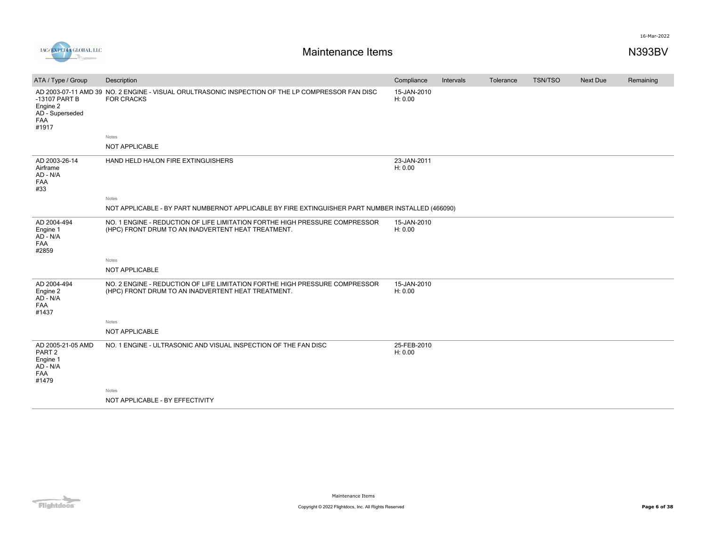

| ATA / Type / Group                                                                      | Description                                                                                                                       | Compliance             | Intervals | Tolerance | <b>TSN/TSO</b> | <b>Next Due</b> | Remaining |
|-----------------------------------------------------------------------------------------|-----------------------------------------------------------------------------------------------------------------------------------|------------------------|-----------|-----------|----------------|-----------------|-----------|
| -13107 PART B<br>Engine 2<br>AD - Superseded<br>FAA<br>#1917                            | AD 2003-07-11 AMD 39 NO. 2 ENGINE - VISUAL ORULTRASONIC INSPECTION OF THE LP COMPRESSOR FAN DISC<br><b>FOR CRACKS</b>             | 15-JAN-2010<br>H: 0.00 |           |           |                |                 |           |
|                                                                                         | Notes                                                                                                                             |                        |           |           |                |                 |           |
|                                                                                         | NOT APPLICABLE                                                                                                                    |                        |           |           |                |                 |           |
| AD 2003-26-14<br>Airframe<br>AD - N/A<br>FAA<br>#33                                     | HAND HELD HALON FIRE EXTINGUISHERS                                                                                                | 23-JAN-2011<br>H: 0.00 |           |           |                |                 |           |
|                                                                                         | Notes                                                                                                                             |                        |           |           |                |                 |           |
|                                                                                         | NOT APPLICABLE - BY PART NUMBERNOT APPLICABLE BY FIRE EXTINGUISHER PART NUMBER INSTALLED (466090)                                 |                        |           |           |                |                 |           |
| AD 2004-494<br>Engine 1<br>$AD - N/A$<br><b>FAA</b><br>#2859                            | NO. 1 ENGINE - REDUCTION OF LIFE LIMITATION FORTHE HIGH PRESSURE COMPRESSOR<br>(HPC) FRONT DRUM TO AN INADVERTENT HEAT TREATMENT. | 15-JAN-2010<br>H: 0.00 |           |           |                |                 |           |
|                                                                                         | Notes                                                                                                                             |                        |           |           |                |                 |           |
|                                                                                         | <b>NOT APPLICABLE</b>                                                                                                             |                        |           |           |                |                 |           |
| AD 2004-494<br>Engine 2<br>AD - N/A<br><b>FAA</b><br>#1437                              | NO. 2 ENGINE - REDUCTION OF LIFE LIMITATION FORTHE HIGH PRESSURE COMPRESSOR<br>(HPC) FRONT DRUM TO AN INADVERTENT HEAT TREATMENT. | 15-JAN-2010<br>H: 0.00 |           |           |                |                 |           |
|                                                                                         | Notes                                                                                                                             |                        |           |           |                |                 |           |
|                                                                                         | <b>NOT APPLICABLE</b>                                                                                                             |                        |           |           |                |                 |           |
| AD 2005-21-05 AMD<br>PART <sub>2</sub><br>Engine 1<br>$AD - N/A$<br><b>FAA</b><br>#1479 | NO. 1 ENGINE - ULTRASONIC AND VISUAL INSPECTION OF THE FAN DISC                                                                   | 25-FEB-2010<br>H: 0.00 |           |           |                |                 |           |
|                                                                                         | Notes                                                                                                                             |                        |           |           |                |                 |           |
|                                                                                         | NOT APPLICABLE - BY EFFECTIVITY                                                                                                   |                        |           |           |                |                 |           |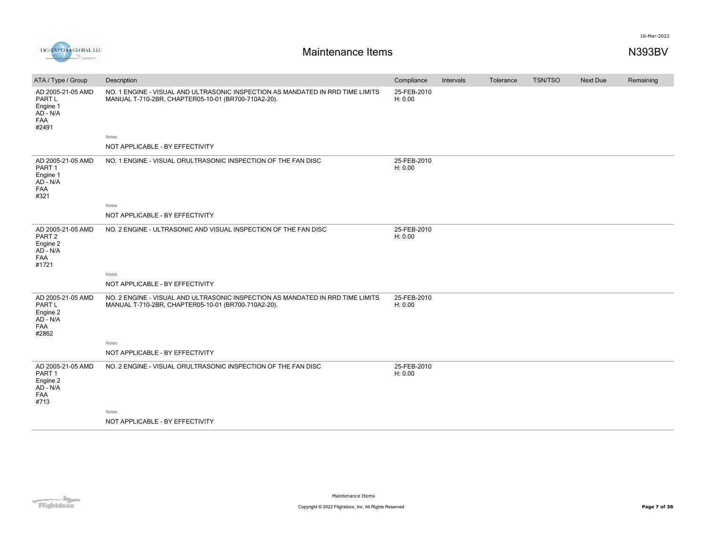

| ATA / Type / Group                                                               | Description                                                                                                                           | Compliance             | Intervals | Tolerance | <b>TSN/TSO</b> | Next Due | Remaining |
|----------------------------------------------------------------------------------|---------------------------------------------------------------------------------------------------------------------------------------|------------------------|-----------|-----------|----------------|----------|-----------|
| AD 2005-21-05 AMD<br>PART L<br>Engine 1<br>AD - N/A<br>FAA<br>#2491              | NO. 1 ENGINE - VISUAL AND ULTRASONIC INSPECTION AS MANDATED IN RRD TIME LIMITS<br>MANUAL T-710-2BR, CHAPTER05-10-01 (BR700-710A2-20). | 25-FEB-2010<br>H: 0.00 |           |           |                |          |           |
|                                                                                  | Notes                                                                                                                                 |                        |           |           |                |          |           |
|                                                                                  | NOT APPLICABLE - BY EFFECTIVITY                                                                                                       |                        |           |           |                |          |           |
| AD 2005-21-05 AMD<br>PART <sub>1</sub><br>Engine 1<br>$AD - N/A$<br>FAA<br>#321  | NO. 1 ENGINE - VISUAL ORULTRASONIC INSPECTION OF THE FAN DISC                                                                         | 25-FEB-2010<br>H: 0.00 |           |           |                |          |           |
|                                                                                  | Notes                                                                                                                                 |                        |           |           |                |          |           |
|                                                                                  | NOT APPLICABLE - BY EFFECTIVITY                                                                                                       |                        |           |           |                |          |           |
| AD 2005-21-05 AMD<br>PART <sub>2</sub><br>Engine 2<br>$AD - N/A$<br>FAA<br>#1721 | NO. 2 ENGINE - ULTRASONIC AND VISUAL INSPECTION OF THE FAN DISC                                                                       | 25-FEB-2010<br>H: 0.00 |           |           |                |          |           |
|                                                                                  | Notes                                                                                                                                 |                        |           |           |                |          |           |
|                                                                                  | NOT APPLICABLE - BY EFFECTIVITY                                                                                                       |                        |           |           |                |          |           |
| AD 2005-21-05 AMD<br>PART L<br>Engine 2<br>AD - N/A<br>FAA<br>#2862              | NO. 2 ENGINE - VISUAL AND ULTRASONIC INSPECTION AS MANDATED IN RRD TIME LIMITS<br>MANUAL T-710-2BR, CHAPTER05-10-01 (BR700-710A2-20). | 25-FEB-2010<br>H: 0.00 |           |           |                |          |           |
|                                                                                  | Notes                                                                                                                                 |                        |           |           |                |          |           |
|                                                                                  | NOT APPLICABLE - BY EFFECTIVITY                                                                                                       |                        |           |           |                |          |           |
| AD 2005-21-05 AMD<br>PART <sub>1</sub><br>Engine 2<br>$AD - N/A$<br>FAA<br>#713  | NO. 2 ENGINE - VISUAL ORULTRASONIC INSPECTION OF THE FAN DISC                                                                         | 25-FEB-2010<br>H: 0.00 |           |           |                |          |           |
|                                                                                  | Notes                                                                                                                                 |                        |           |           |                |          |           |
|                                                                                  | NOT APPLICABLE - BY EFFECTIVITY                                                                                                       |                        |           |           |                |          |           |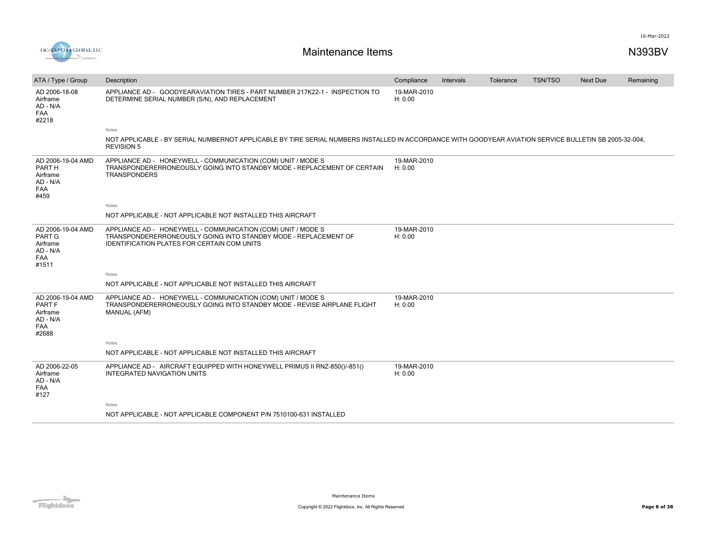

| ATA / Type / Group                                                         | Description                                                                                                                                                                           | Compliance             | Intervals | Tolerance | <b>TSN/TSO</b> | Next Due | Remaining |
|----------------------------------------------------------------------------|---------------------------------------------------------------------------------------------------------------------------------------------------------------------------------------|------------------------|-----------|-----------|----------------|----------|-----------|
| AD 2006-18-08<br>Airframe<br>AD - N/A<br><b>FAA</b><br>#2218               | APPLIANCE AD - GOODYEARAVIATION TIRES - PART NUMBER 217K22-1 - INSPECTION TO<br>DETERMINE SERIAL NUMBER (S/N), AND REPLACEMENT                                                        | 19-MAR-2010<br>H: 0.00 |           |           |                |          |           |
|                                                                            | Notes                                                                                                                                                                                 |                        |           |           |                |          |           |
|                                                                            | NOT APPLICABLE - BY SERIAL NUMBERNOT APPLICABLE BY TIRE SERIAL NUMBERS INSTALLED IN ACCORDANCE WITH GOODYEAR AVIATION SERVICE BULLETIN SB 2005-32-004.<br><b>REVISION 5</b>           |                        |           |           |                |          |           |
| AD 2006-19-04 AMD<br>PART H<br>Airframe<br>AD - N/A<br><b>FAA</b><br>#459  | APPLIANCE AD - HONEYWELL - COMMUNICATION (COM) UNIT / MODE S<br>TRANSPONDERERRONEOUSLY GOING INTO STANDBY MODE - REPLACEMENT OF CERTAIN<br><b>TRANSPONDERS</b>                        | 19-MAR-2010<br>H: 0.00 |           |           |                |          |           |
|                                                                            | <b>Notes</b>                                                                                                                                                                          |                        |           |           |                |          |           |
|                                                                            | NOT APPLICABLE - NOT APPLICABLE NOT INSTALLED THIS AIRCRAFT                                                                                                                           |                        |           |           |                |          |           |
| AD 2006-19-04 AMD<br><b>PART G</b><br>Airframe<br>AD - N/A<br>FAA<br>#1511 | APPLIANCE AD - HONEYWELL - COMMUNICATION (COM) UNIT / MODE S<br>TRANSPONDERERRONEOUSLY GOING INTO STANDBY MODE - REPLACEMENT OF<br><b>IDENTIFICATION PLATES FOR CERTAIN COM UNITS</b> | 19-MAR-2010<br>H: 0.00 |           |           |                |          |           |
|                                                                            | Notes                                                                                                                                                                                 |                        |           |           |                |          |           |
|                                                                            | NOT APPLICABLE - NOT APPLICABLE NOT INSTALLED THIS AIRCRAFT                                                                                                                           |                        |           |           |                |          |           |
| AD 2006-19-04 AMD<br>PART F<br>Airframe<br>AD - N/A<br>FAA<br>#2688        | APPLIANCE AD - HONEYWELL - COMMUNICATION (COM) UNIT / MODE S<br>TRANSPONDERERRONEOUSLY GOING INTO STANDBY MODE - REVISE AIRPLANE FLIGHT<br>MANUAL (AFM)                               | 19-MAR-2010<br>H: 0.00 |           |           |                |          |           |
|                                                                            | Notes                                                                                                                                                                                 |                        |           |           |                |          |           |
|                                                                            | NOT APPLICABLE - NOT APPLICABLE NOT INSTALLED THIS AIRCRAFT                                                                                                                           |                        |           |           |                |          |           |
| AD 2006-22-05<br>Airframe<br>AD - N/A<br>FAA<br>#127                       | APPLIANCE AD - AIRCRAFT EQUIPPED WITH HONEYWELL PRIMUS II RNZ-850()/-851()<br>INTEGRATED NAVIGATION UNITS                                                                             | 19-MAR-2010<br>H: 0.00 |           |           |                |          |           |
|                                                                            | <b>Notes</b>                                                                                                                                                                          |                        |           |           |                |          |           |
|                                                                            | NOT APPLICABLE - NOT APPLICABLE COMPONENT P/N 7510100-631 INSTALLED                                                                                                                   |                        |           |           |                |          |           |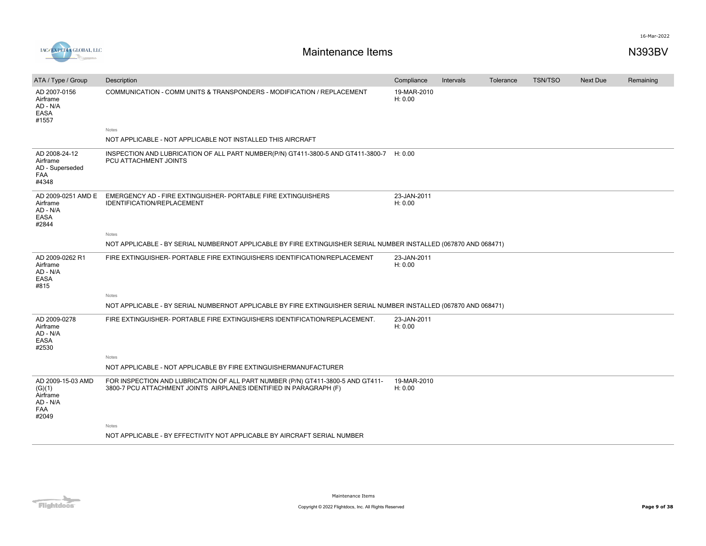

| ATA / Type / Group                                                         | Description                                                                                                                                           | Compliance             | Intervals | Tolerance | <b>TSN/TSO</b> | Next Due | Remaining |
|----------------------------------------------------------------------------|-------------------------------------------------------------------------------------------------------------------------------------------------------|------------------------|-----------|-----------|----------------|----------|-----------|
| AD 2007-0156<br>Airframe<br>AD - N/A<br><b>EASA</b><br>#1557               | COMMUNICATION - COMM UNITS & TRANSPONDERS - MODIFICATION / REPLACEMENT                                                                                | 19-MAR-2010<br>H: 0.00 |           |           |                |          |           |
|                                                                            | Notes                                                                                                                                                 |                        |           |           |                |          |           |
|                                                                            | NOT APPLICABLE - NOT APPLICABLE NOT INSTALLED THIS AIRCRAFT                                                                                           |                        |           |           |                |          |           |
| AD 2008-24-12<br>Airframe<br>AD - Superseded<br>FAA<br>#4348               | INSPECTION AND LUBRICATION OF ALL PART NUMBER(P/N) GT411-3800-5 AND GT411-3800-7 H: 0.00<br>PCU ATTACHMENT JOINTS                                     |                        |           |           |                |          |           |
| AD 2009-0251 AMD E<br>Airframe<br>AD - N/A<br><b>EASA</b><br>#2844         | EMERGENCY AD - FIRE EXTINGUISHER- PORTABLE FIRE EXTINGUISHERS<br>IDENTIFICATION/REPLACEMENT                                                           | 23-JAN-2011<br>H: 0.00 |           |           |                |          |           |
|                                                                            | Notes                                                                                                                                                 |                        |           |           |                |          |           |
|                                                                            | NOT APPLICABLE - BY SERIAL NUMBERNOT APPLICABLE BY FIRE EXTINGUISHER SERIAL NUMBER INSTALLED (067870 AND 068471)                                      |                        |           |           |                |          |           |
| AD 2009-0262 R1<br>Airframe<br>AD - N/A<br><b>EASA</b><br>#815             | FIRE EXTINGUISHER- PORTABLE FIRE EXTINGUISHERS IDENTIFICATION/REPLACEMENT                                                                             | 23-JAN-2011<br>H: 0.00 |           |           |                |          |           |
|                                                                            | Notes                                                                                                                                                 |                        |           |           |                |          |           |
|                                                                            | NOT APPLICABLE - BY SERIAL NUMBERNOT APPLICABLE BY FIRE EXTINGUISHER SERIAL NUMBER INSTALLED (067870 AND 068471)                                      |                        |           |           |                |          |           |
| AD 2009-0278<br>Airframe<br>AD - N/A<br><b>EASA</b><br>#2530               | FIRE EXTINGUISHER- PORTABLE FIRE EXTINGUISHERS IDENTIFICATION/REPLACEMENT.                                                                            | 23-JAN-2011<br>H: 0.00 |           |           |                |          |           |
|                                                                            | Notes                                                                                                                                                 |                        |           |           |                |          |           |
|                                                                            | NOT APPLICABLE - NOT APPLICABLE BY FIRE EXTINGUISHERMANUFACTURER                                                                                      |                        |           |           |                |          |           |
| AD 2009-15-03 AMD<br>(G)(1)<br>Airframe<br>AD - N/A<br><b>FAA</b><br>#2049 | FOR INSPECTION AND LUBRICATION OF ALL PART NUMBER (P/N) GT411-3800-5 AND GT411-<br>3800-7 PCU ATTACHMENT JOINTS AIRPLANES IDENTIFIED IN PARAGRAPH (F) | 19-MAR-2010<br>H: 0.00 |           |           |                |          |           |
|                                                                            | Notes                                                                                                                                                 |                        |           |           |                |          |           |
|                                                                            | NOT APPLICABLE - BY EFFECTIVITY NOT APPLICABLE BY AIRCRAFT SERIAL NUMBER                                                                              |                        |           |           |                |          |           |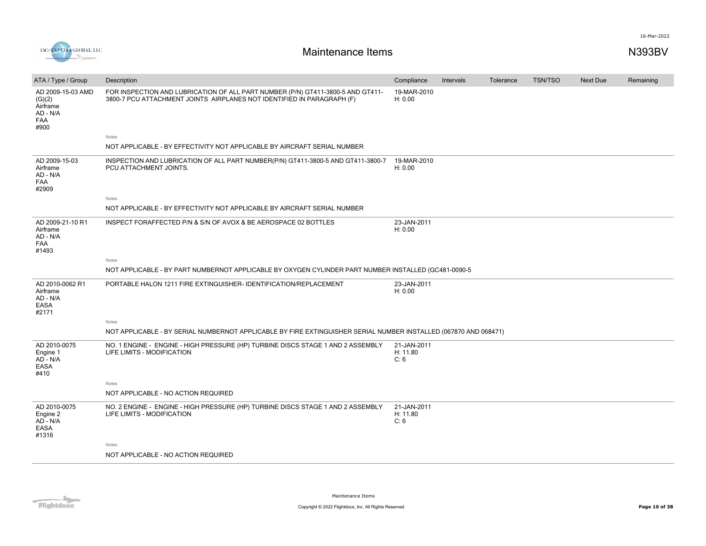

| ATA / Type / Group                                                        | Description                                                                                                                                               | Compliance                      | Intervals | Tolerance | <b>TSN/TSO</b> | <b>Next Due</b> | Remaining |
|---------------------------------------------------------------------------|-----------------------------------------------------------------------------------------------------------------------------------------------------------|---------------------------------|-----------|-----------|----------------|-----------------|-----------|
| AD 2009-15-03 AMD<br>(G)(2)<br>Airframe<br>AD - N/A<br><b>FAA</b><br>#900 | FOR INSPECTION AND LUBRICATION OF ALL PART NUMBER (P/N) GT411-3800-5 AND GT411-<br>3800-7 PCU ATTACHMENT JOINTS AIRPLANES NOT IDENTIFIED IN PARAGRAPH (F) | 19-MAR-2010<br>H: 0.00          |           |           |                |                 |           |
|                                                                           | Notes                                                                                                                                                     |                                 |           |           |                |                 |           |
|                                                                           | NOT APPLICABLE - BY EFFECTIVITY NOT APPLICABLE BY AIRCRAFT SERIAL NUMBER                                                                                  |                                 |           |           |                |                 |           |
| AD 2009-15-03<br>Airframe<br>AD - N/A<br><b>FAA</b><br>#2909              | INSPECTION AND LUBRICATION OF ALL PART NUMBER(P/N) GT411-3800-5 AND GT411-3800-7<br>PCU ATTACHMENT JOINTS.                                                | 19-MAR-2010<br>H: 0.00          |           |           |                |                 |           |
|                                                                           | Notes                                                                                                                                                     |                                 |           |           |                |                 |           |
|                                                                           | NOT APPLICABLE - BY EFFECTIVITY NOT APPLICABLE BY AIRCRAFT SERIAL NUMBER                                                                                  |                                 |           |           |                |                 |           |
| AD 2009-21-10 R1<br>Airframe<br>AD - N/A<br>FAA<br>#1493                  | INSPECT FORAFFECTED P/N & S/N OF AVOX & BE AEROSPACE 02 BOTTLES                                                                                           | 23-JAN-2011<br>H: 0.00          |           |           |                |                 |           |
|                                                                           | Notes                                                                                                                                                     |                                 |           |           |                |                 |           |
|                                                                           | NOT APPLICABLE - BY PART NUMBERNOT APPLICABLE BY OXYGEN CYLINDER PART NUMBER INSTALLED (GC481-0090-5                                                      |                                 |           |           |                |                 |           |
| AD 2010-0062 R1<br>Airframe<br>AD - N/A<br><b>EASA</b><br>#2171           | PORTABLE HALON 1211 FIRE EXTINGUISHER- IDENTIFICATION/REPLACEMENT                                                                                         | 23-JAN-2011<br>H: 0.00          |           |           |                |                 |           |
|                                                                           | Notes                                                                                                                                                     |                                 |           |           |                |                 |           |
|                                                                           | NOT APPLICABLE - BY SERIAL NUMBERNOT APPLICABLE BY FIRE EXTINGUISHER SERIAL NUMBER INSTALLED (067870 AND 068471)                                          |                                 |           |           |                |                 |           |
| AD 2010-0075<br>Engine 1<br>AD - N/A<br><b>EASA</b><br>#410               | NO. 1 ENGINE - ENGINE - HIGH PRESSURE (HP) TURBINE DISCS STAGE 1 AND 2 ASSEMBLY<br>LIFE LIMITS - MODIFICATION                                             | 21-JAN-2011<br>H: 11.80<br>C: 6 |           |           |                |                 |           |
|                                                                           | Notes                                                                                                                                                     |                                 |           |           |                |                 |           |
|                                                                           | NOT APPLICABLE - NO ACTION REQUIRED                                                                                                                       |                                 |           |           |                |                 |           |
| AD 2010-0075<br>Engine 2<br>AD - N/A<br><b>EASA</b><br>#1316              | NO. 2 ENGINE - ENGINE - HIGH PRESSURE (HP) TURBINE DISCS STAGE 1 AND 2 ASSEMBLY<br>LIFE LIMITS - MODIFICATION                                             | 21-JAN-2011<br>H: 11.80<br>C: 6 |           |           |                |                 |           |
|                                                                           | Notes                                                                                                                                                     |                                 |           |           |                |                 |           |
|                                                                           | NOT APPLICABLE - NO ACTION REQUIRED                                                                                                                       |                                 |           |           |                |                 |           |
|                                                                           |                                                                                                                                                           |                                 |           |           |                |                 |           |

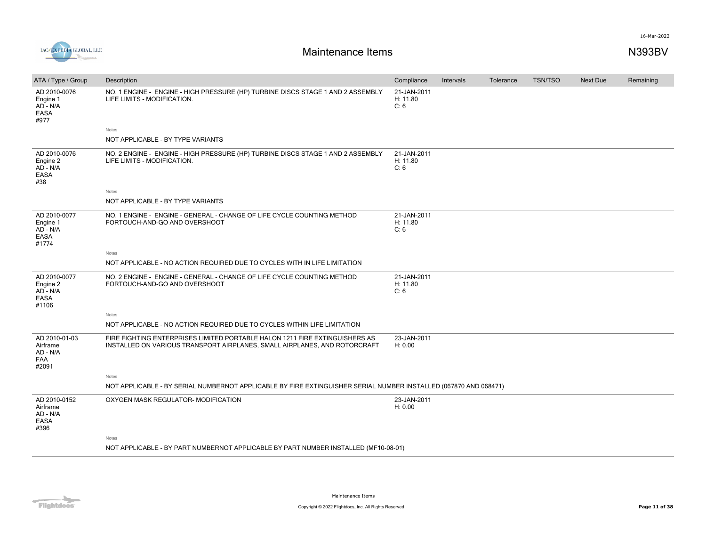

| ATA / Type / Group                                             | Description                                                                                                                                              | Compliance                      | Intervals | Tolerance | <b>TSN/TSO</b> | Next Due | Remaining |
|----------------------------------------------------------------|----------------------------------------------------------------------------------------------------------------------------------------------------------|---------------------------------|-----------|-----------|----------------|----------|-----------|
| AD 2010-0076<br>Engine 1<br>AD - N/A<br><b>EASA</b><br>#977    | NO. 1 ENGINE - ENGINE - HIGH PRESSURE (HP) TURBINE DISCS STAGE 1 AND 2 ASSEMBLY<br>LIFE LIMITS - MODIFICATION.                                           | 21-JAN-2011<br>H: 11.80<br>C: 6 |           |           |                |          |           |
|                                                                | Notes                                                                                                                                                    |                                 |           |           |                |          |           |
|                                                                | NOT APPLICABLE - BY TYPE VARIANTS                                                                                                                        |                                 |           |           |                |          |           |
| AD 2010-0076<br>Engine 2<br>AD - N/A<br>EASA<br>#38            | NO. 2 ENGINE - ENGINE - HIGH PRESSURE (HP) TURBINE DISCS STAGE 1 AND 2 ASSEMBLY<br>LIFE LIMITS - MODIFICATION.                                           | 21-JAN-2011<br>H: 11.80<br>C: 6 |           |           |                |          |           |
|                                                                | Notes                                                                                                                                                    |                                 |           |           |                |          |           |
|                                                                | NOT APPLICABLE - BY TYPE VARIANTS                                                                                                                        |                                 |           |           |                |          |           |
| AD 2010-0077<br>Engine 1<br>AD - N/A<br>EASA<br>#1774          | NO. 1 ENGINE - ENGINE - GENERAL - CHANGE OF LIFE CYCLE COUNTING METHOD<br>FORTOUCH-AND-GO AND OVERSHOOT                                                  | 21-JAN-2011<br>H: 11.80<br>C: 6 |           |           |                |          |           |
|                                                                | Notes                                                                                                                                                    |                                 |           |           |                |          |           |
|                                                                | NOT APPLICABLE - NO ACTION REQUIRED DUE TO CYCLES WITH IN LIFE LIMITATION                                                                                |                                 |           |           |                |          |           |
| AD 2010-0077<br>Engine 2<br>$AD - N/A$<br><b>EASA</b><br>#1106 | NO. 2 ENGINE - ENGINE - GENERAL - CHANGE OF LIFE CYCLE COUNTING METHOD<br>FORTOUCH-AND-GO AND OVERSHOOT                                                  | 21-JAN-2011<br>H: 11.80<br>C: 6 |           |           |                |          |           |
|                                                                | Notes                                                                                                                                                    |                                 |           |           |                |          |           |
|                                                                | NOT APPLICABLE - NO ACTION REQUIRED DUE TO CYCLES WITHIN LIFE LIMITATION                                                                                 |                                 |           |           |                |          |           |
| AD 2010-01-03<br>Airframe<br>AD - N/A<br>FAA<br>#2091          | FIRE FIGHTING ENTERPRISES LIMITED PORTABLE HALON 1211 FIRE EXTINGUISHERS AS<br>INSTALLED ON VARIOUS TRANSPORT AIRPLANES, SMALL AIRPLANES, AND ROTORCRAFT | 23-JAN-2011<br>H: 0.00          |           |           |                |          |           |
|                                                                | Notes                                                                                                                                                    |                                 |           |           |                |          |           |
|                                                                | NOT APPLICABLE - BY SERIAL NUMBERNOT APPLICABLE BY FIRE EXTINGUISHER SERIAL NUMBER INSTALLED (067870 AND 068471)                                         |                                 |           |           |                |          |           |
| AD 2010-0152<br>Airframe<br>AD - N/A<br>EASA<br>#396           | OXYGEN MASK REGULATOR- MODIFICATION                                                                                                                      | 23-JAN-2011<br>H: 0.00          |           |           |                |          |           |
|                                                                | Notes                                                                                                                                                    |                                 |           |           |                |          |           |

NOT APPLICABLE - BY PART NUMBERNOT APPLICABLE BY PART NUMBER INSTALLED (MF10-08-01)

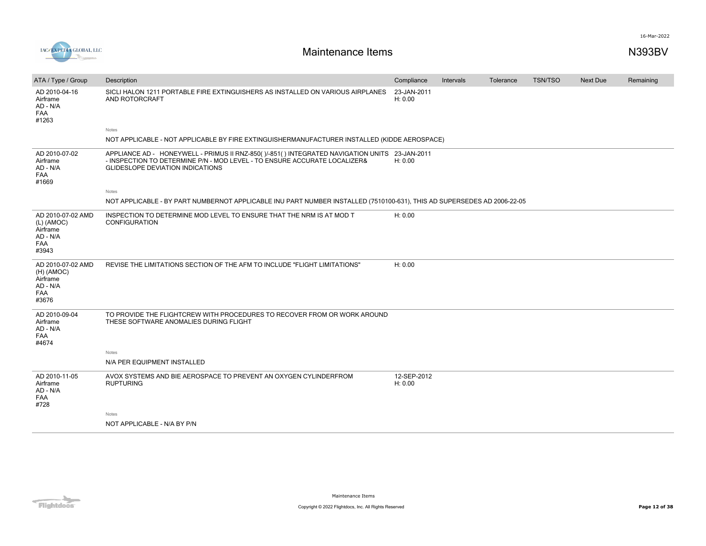

| ATA / Type / Group                                                               | Description                                                                                                                                                                                                           | Compliance             | Intervals | Tolerance | <b>TSN/TSO</b> | <b>Next Due</b> | Remaining |
|----------------------------------------------------------------------------------|-----------------------------------------------------------------------------------------------------------------------------------------------------------------------------------------------------------------------|------------------------|-----------|-----------|----------------|-----------------|-----------|
| AD 2010-04-16<br>Airframe<br>AD - N/A<br><b>FAA</b><br>#1263                     | SICLI HALON 1211 PORTABLE FIRE EXTINGUISHERS AS INSTALLED ON VARIOUS AIRPLANES<br>AND ROTORCRAFT                                                                                                                      | 23-JAN-2011<br>H: 0.00 |           |           |                |                 |           |
|                                                                                  | Notes                                                                                                                                                                                                                 |                        |           |           |                |                 |           |
|                                                                                  | NOT APPLICABLE - NOT APPLICABLE BY FIRE EXTINGUISHERMANUFACTURER INSTALLED (KIDDE AEROSPACE)                                                                                                                          |                        |           |           |                |                 |           |
| AD 2010-07-02<br>Airframe<br>AD - N/A<br>FAA<br>#1669                            | APPLIANCE AD - HONEYWELL - PRIMUS II RNZ-850()/-851() INTEGRATED NAVIGATION UNITS 23-JAN-2011<br>- INSPECTION TO DETERMINE P/N - MOD LEVEL - TO ENSURE ACCURATE LOCALIZER&<br><b>GLIDESLOPE DEVIATION INDICATIONS</b> | H: 0.00                |           |           |                |                 |           |
|                                                                                  | Notes                                                                                                                                                                                                                 |                        |           |           |                |                 |           |
|                                                                                  | NOT APPLICABLE - BY PART NUMBERNOT APPLICABLE INU PART NUMBER INSTALLED (7510100-631), THIS AD SUPERSEDES AD 2006-22-05                                                                                               |                        |           |           |                |                 |           |
| AD 2010-07-02 AMD<br>(L) (AMOC)<br>Airframe<br>AD - N/A<br>FAA<br>#3943          | INSPECTION TO DETERMINE MOD LEVEL TO ENSURE THAT THE NRM IS AT MOD T<br><b>CONFIGURATION</b>                                                                                                                          | H: 0.00                |           |           |                |                 |           |
| AD 2010-07-02 AMD<br>$(H)$ (AMOC)<br>Airframe<br>AD - N/A<br><b>FAA</b><br>#3676 | REVISE THE LIMITATIONS SECTION OF THE AFM TO INCLUDE "FLIGHT LIMITATIONS"                                                                                                                                             | H: 0.00                |           |           |                |                 |           |
| AD 2010-09-04<br>Airframe<br>AD - N/A<br>FAA<br>#4674                            | TO PROVIDE THE FLIGHTCREW WITH PROCEDURES TO RECOVER FROM OR WORK AROUND<br>THESE SOFTWARE ANOMALIES DURING FLIGHT                                                                                                    |                        |           |           |                |                 |           |
|                                                                                  | <b>Notes</b>                                                                                                                                                                                                          |                        |           |           |                |                 |           |
|                                                                                  | N/A PER EQUIPMENT INSTALLED                                                                                                                                                                                           |                        |           |           |                |                 |           |
| AD 2010-11-05<br>Airframe<br>AD - N/A<br>FAA<br>#728                             | AVOX SYSTEMS AND BIE AEROSPACE TO PREVENT AN OXYGEN CYLINDERFROM<br><b>RUPTURING</b>                                                                                                                                  | 12-SEP-2012<br>H: 0.00 |           |           |                |                 |           |
|                                                                                  | <b>Notes</b>                                                                                                                                                                                                          |                        |           |           |                |                 |           |
|                                                                                  | NOT APPLICABLE - N/A BY P/N                                                                                                                                                                                           |                        |           |           |                |                 |           |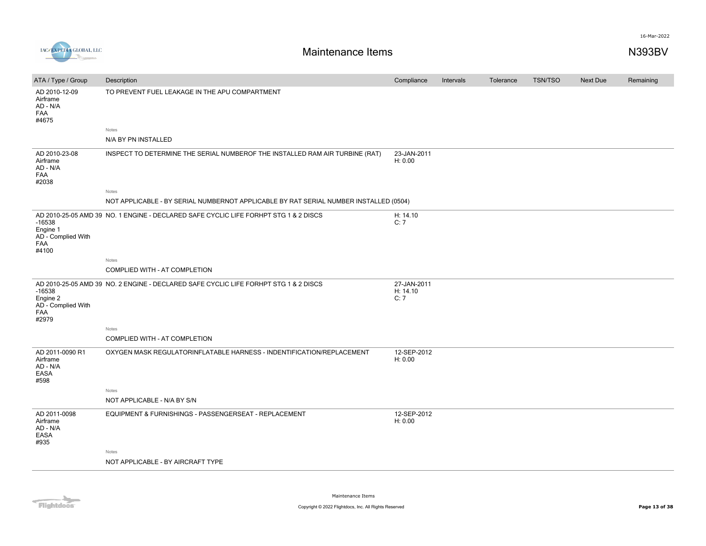



| ATA / Type / Group                                         | Description                                                                           | Compliance                     | Intervals | Tolerance | <b>TSN/TSO</b> | <b>Next Due</b> | Remaining |
|------------------------------------------------------------|---------------------------------------------------------------------------------------|--------------------------------|-----------|-----------|----------------|-----------------|-----------|
|                                                            |                                                                                       |                                |           |           |                |                 |           |
| AD 2010-12-09<br>Airframe<br>AD - N/A<br>FAA<br>#4675      | TO PREVENT FUEL LEAKAGE IN THE APU COMPARTMENT                                        |                                |           |           |                |                 |           |
|                                                            | Notes                                                                                 |                                |           |           |                |                 |           |
|                                                            | N/A BY PN INSTALLED                                                                   |                                |           |           |                |                 |           |
| AD 2010-23-08<br>Airframe<br>AD - N/A<br>FAA<br>#2038      | INSPECT TO DETERMINE THE SERIAL NUMBEROF THE INSTALLED RAM AIR TURBINE (RAT)          | 23-JAN-2011<br>H: 0.00         |           |           |                |                 |           |
|                                                            | Notes                                                                                 |                                |           |           |                |                 |           |
|                                                            | NOT APPLICABLE - BY SERIAL NUMBERNOT APPLICABLE BY RAT SERIAL NUMBER INSTALLED (0504) |                                |           |           |                |                 |           |
| $-16538$<br>Engine 1<br>AD - Complied With<br>FAA<br>#4100 | AD 2010-25-05 AMD 39 NO. 1 ENGINE - DECLARED SAFE CYCLIC LIFE FORHPT STG 1 & 2 DISCS  | H: 14.10<br>C:7                |           |           |                |                 |           |
|                                                            | Notes                                                                                 |                                |           |           |                |                 |           |
|                                                            | COMPLIED WITH - AT COMPLETION                                                         |                                |           |           |                |                 |           |
| $-16538$<br>Engine 2<br>AD - Complied With<br>FAA<br>#2979 | AD 2010-25-05 AMD 39 NO. 2 ENGINE - DECLARED SAFE CYCLIC LIFE FORHPT STG 1 & 2 DISCS  | 27-JAN-2011<br>H: 14.10<br>C:7 |           |           |                |                 |           |
|                                                            | Notes                                                                                 |                                |           |           |                |                 |           |
|                                                            | COMPLIED WITH - AT COMPLETION                                                         |                                |           |           |                |                 |           |
| AD 2011-0090 R1<br>Airframe<br>AD - N/A<br>EASA<br>#598    | OXYGEN MASK REGULATORINFLATABLE HARNESS - INDENTIFICATION/REPLACEMENT                 | 12-SEP-2012<br>H: 0.00         |           |           |                |                 |           |
|                                                            | Notes                                                                                 |                                |           |           |                |                 |           |
|                                                            | NOT APPLICABLE - N/A BY S/N                                                           |                                |           |           |                |                 |           |
| AD 2011-0098<br>Airframe<br>AD - N/A<br>EASA<br>#935       | EQUIPMENT & FURNISHINGS - PASSENGERSEAT - REPLACEMENT                                 | 12-SEP-2012<br>H: 0.00         |           |           |                |                 |           |
|                                                            | Notes                                                                                 |                                |           |           |                |                 |           |
|                                                            | NOT APPLICABLE - BY AIRCRAFT TYPE                                                     |                                |           |           |                |                 |           |
|                                                            |                                                                                       |                                |           |           |                |                 |           |

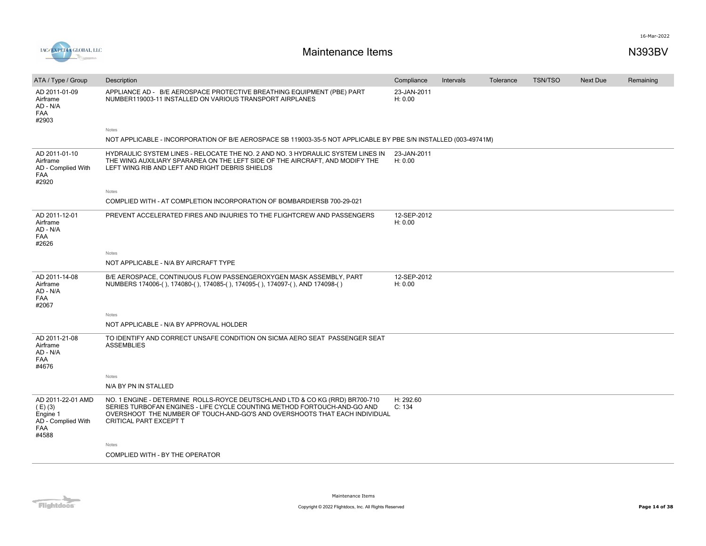

| ATA / Type / Group                                                                      | Description                                                                                                                                                                                                                                                                                           | Compliance             | <b>Intervals</b> | Tolerance | <b>TSN/TSO</b> | <b>Next Due</b> | Remaining |
|-----------------------------------------------------------------------------------------|-------------------------------------------------------------------------------------------------------------------------------------------------------------------------------------------------------------------------------------------------------------------------------------------------------|------------------------|------------------|-----------|----------------|-----------------|-----------|
| AD 2011-01-09<br>Airframe<br>AD - N/A<br><b>FAA</b><br>#2903                            | APPLIANCE AD - B/E AEROSPACE PROTECTIVE BREATHING EQUIPMENT (PBE) PART<br>NUMBER119003-11 INSTALLED ON VARIOUS TRANSPORT AIRPLANES<br>Notes<br>NOT APPLICABLE - INCORPORATION OF B/E AEROSPACE SB 119003-35-5 NOT APPLICABLE BY PBE S/N INSTALLED (003-49741M)                                        | 23-JAN-2011<br>H: 0.00 |                  |           |                |                 |           |
| AD 2011-01-10<br>Airframe<br>AD - Complied With<br><b>FAA</b><br>#2920                  | HYDRAULIC SYSTEM LINES - RELOCATE THE NO. 2 AND NO. 3 HYDRAULIC SYSTEM LINES IN<br>THE WING AUXILIARY SPARAREA ON THE LEFT SIDE OF THE AIRCRAFT, AND MODIFY THE<br>LEFT WING RIB AND LEFT AND RIGHT DEBRIS SHIELDS<br>Notes<br>COMPLIED WITH - AT COMPLETION INCORPORATION OF BOMBARDIERSB 700-29-021 | 23-JAN-2011<br>H: 0.00 |                  |           |                |                 |           |
| AD 2011-12-01<br>Airframe<br>AD - N/A<br>FAA<br>#2626                                   | PREVENT ACCELERATED FIRES AND INJURIES TO THE FLIGHTCREW AND PASSENGERS<br>Notes                                                                                                                                                                                                                      | 12-SEP-2012<br>H: 0.00 |                  |           |                |                 |           |
|                                                                                         | NOT APPLICABLE - N/A BY AIRCRAFT TYPE                                                                                                                                                                                                                                                                 |                        |                  |           |                |                 |           |
| AD 2011-14-08<br>Airframe<br>AD - N/A<br><b>FAA</b><br>#2067                            | B/E AEROSPACE, CONTINUOUS FLOW PASSENGEROXYGEN MASK ASSEMBLY, PART<br>NUMBERS 174006-(), 174080-(), 174085-(), 174095-(), 174097-(), AND 174098-()                                                                                                                                                    | 12-SEP-2012<br>H: 0.00 |                  |           |                |                 |           |
|                                                                                         | Notes<br>NOT APPLICABLE - N/A BY APPROVAL HOLDER                                                                                                                                                                                                                                                      |                        |                  |           |                |                 |           |
| AD 2011-21-08<br>Airframe<br>AD - N/A<br>FAA<br>#4676                                   | TO IDENTIFY AND CORRECT UNSAFE CONDITION ON SICMA AERO SEAT PASSENGER SEAT<br><b>ASSEMBLIES</b>                                                                                                                                                                                                       |                        |                  |           |                |                 |           |
|                                                                                         | Notes                                                                                                                                                                                                                                                                                                 |                        |                  |           |                |                 |           |
|                                                                                         | N/A BY PN IN STALLED                                                                                                                                                                                                                                                                                  |                        |                  |           |                |                 |           |
| AD 2011-22-01 AMD<br>$(E)$ (3)<br>Engine 1<br>AD - Complied With<br><b>FAA</b><br>#4588 | NO. 1 ENGINE - DETERMINE ROLLS-ROYCE DEUTSCHLAND LTD & CO KG (RRD) BR700-710<br>SERIES TURBOFAN ENGINES - LIFE CYCLE COUNTING METHOD FORTOUCH-AND-GO AND<br>OVERSHOOT THE NUMBER OF TOUCH-AND-GO'S AND OVERSHOOTS THAT EACH INDIVIDUAL<br><b>CRITICAL PART EXCEPT T</b>                               | H: 292.60<br>C: 134    |                  |           |                |                 |           |
|                                                                                         | Notes                                                                                                                                                                                                                                                                                                 |                        |                  |           |                |                 |           |
|                                                                                         | COMPLIED WITH - BY THE OPERATOR                                                                                                                                                                                                                                                                       |                        |                  |           |                |                 |           |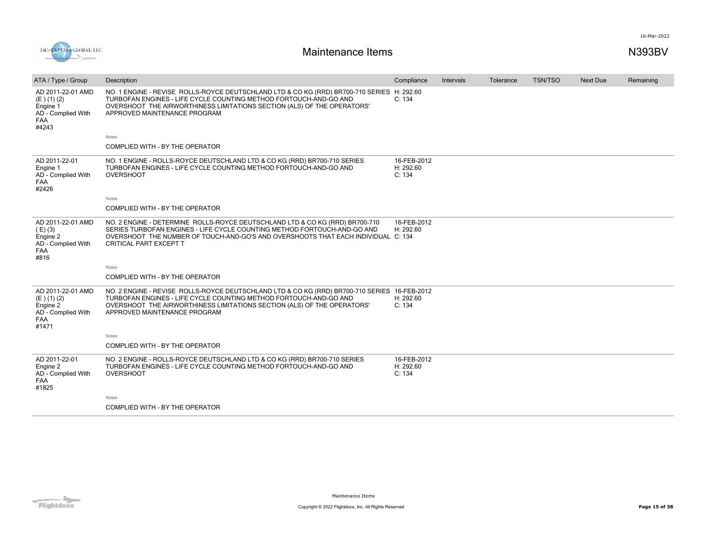



| ATA / Type / Group                                                                          | Description                                                                                                                                                                                                                                                                  | Compliance                         | Intervals | Tolerance | <b>TSN/TSO</b> | Next Due | Remaining |
|---------------------------------------------------------------------------------------------|------------------------------------------------------------------------------------------------------------------------------------------------------------------------------------------------------------------------------------------------------------------------------|------------------------------------|-----------|-----------|----------------|----------|-----------|
| AD 2011-22-01 AMD<br>$(E)$ (1) (2)<br>Engine 1<br>AD - Complied With<br><b>FAA</b><br>#4243 | NO. 1 ENGINE - REVISE ROLLS-ROYCE DEUTSCHLAND LTD & CO KG (RRD) BR700-710 SERIES H: 292.60<br>TURBOFAN ENGINES - LIFE CYCLE COUNTING METHOD FORTOUCH-AND-GO AND<br>OVERSHOOT THE AIRWORTHINESS LIMITATIONS SECTION (ALS) OF THE OPERATORS'<br>APPROVED MAINTENANCE PROGRAM   | C: 134                             |           |           |                |          |           |
|                                                                                             | <b>Notes</b>                                                                                                                                                                                                                                                                 |                                    |           |           |                |          |           |
|                                                                                             | COMPLIED WITH - BY THE OPERATOR                                                                                                                                                                                                                                              |                                    |           |           |                |          |           |
| AD 2011-22-01<br>Engine 1<br>AD - Complied With<br>FAA<br>#2426                             | NO. 1 ENGINE - ROLLS-ROYCE DEUTSCHLAND LTD & CO KG (RRD) BR700-710 SERIES<br>TURBOFAN ENGINES - LIFE CYCLE COUNTING METHOD FORTOUCH-AND-GO AND<br><b>OVERSHOOT</b>                                                                                                           | 16-FEB-2012<br>H: 292.60<br>C: 134 |           |           |                |          |           |
|                                                                                             | Notes                                                                                                                                                                                                                                                                        |                                    |           |           |                |          |           |
|                                                                                             | COMPLIED WITH - BY THE OPERATOR                                                                                                                                                                                                                                              |                                    |           |           |                |          |           |
| AD 2011-22-01 AMD<br>$(E)$ (3)<br>Engine 2<br>AD - Complied With<br><b>FAA</b><br>#816      | NO. 2 ENGINE - DETERMINE ROLLS-ROYCE DEUTSCHLAND LTD & CO KG (RRD) BR700-710<br>SERIES TURBOFAN ENGINES - LIFE CYCLE COUNTING METHOD FORTOUCH-AND-GO AND<br>OVERSHOOT THE NUMBER OF TOUCH-AND-GO'S AND OVERSHOOTS THAT EACH INDIVIDUAL C: 134<br>CRITICAL PART EXCEPT T      | 16-FEB-2012<br>H: 292.60           |           |           |                |          |           |
|                                                                                             | <b>Notes</b>                                                                                                                                                                                                                                                                 |                                    |           |           |                |          |           |
|                                                                                             | COMPLIED WITH - BY THE OPERATOR                                                                                                                                                                                                                                              |                                    |           |           |                |          |           |
| AD 2011-22-01 AMD<br>$(E)$ (1) (2)<br>Engine 2<br>AD - Complied With<br><b>FAA</b><br>#1471 | NO. 2 ENGINE - REVISE ROLLS-ROYCE DEUTSCHLAND LTD & CO KG (RRD) BR700-710 SERIES 16-FEB-2012<br>TURBOFAN ENGINES - LIFE CYCLE COUNTING METHOD FORTOUCH-AND-GO AND<br>OVERSHOOT THE AIRWORTHINESS LIMITATIONS SECTION (ALS) OF THE OPERATORS'<br>APPROVED MAINTENANCE PROGRAM | H: 292.60<br>C: 134                |           |           |                |          |           |
|                                                                                             | <b>Notes</b>                                                                                                                                                                                                                                                                 |                                    |           |           |                |          |           |
|                                                                                             | COMPLIED WITH - BY THE OPERATOR                                                                                                                                                                                                                                              |                                    |           |           |                |          |           |
| AD 2011-22-01<br>Engine 2<br>AD - Complied With<br><b>FAA</b><br>#1825                      | NO. 2 ENGINE - ROLLS-ROYCE DEUTSCHLAND LTD & CO KG (RRD) BR700-710 SERIES<br>TURBOFAN ENGINES - LIFE CYCLE COUNTING METHOD FORTOUCH-AND-GO AND<br><b>OVERSHOOT</b>                                                                                                           | 16-FEB-2012<br>H: 292.60<br>C: 134 |           |           |                |          |           |
|                                                                                             | <b>Notes</b>                                                                                                                                                                                                                                                                 |                                    |           |           |                |          |           |
|                                                                                             | COMPLIED WITH - BY THE OPERATOR                                                                                                                                                                                                                                              |                                    |           |           |                |          |           |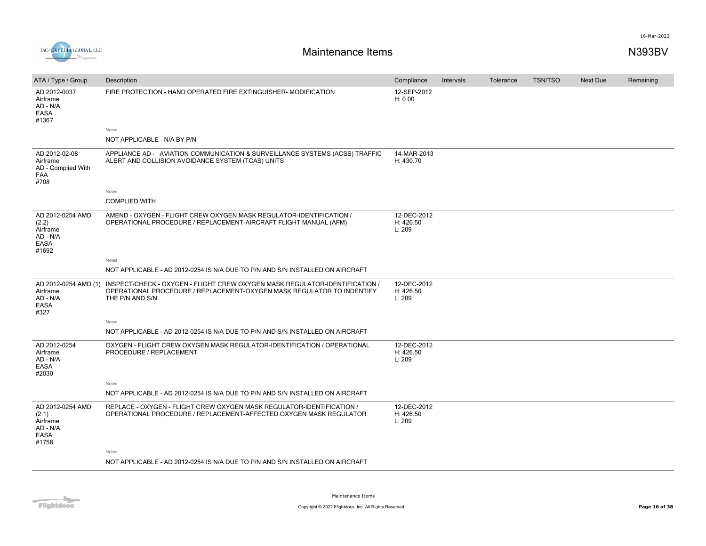

| ATA / Type / Group                                                 | Description                                                                                                                                                              | Compliance                         | Intervals | Tolerance | <b>TSN/TSO</b> | <b>Next Due</b> | Remaining |
|--------------------------------------------------------------------|--------------------------------------------------------------------------------------------------------------------------------------------------------------------------|------------------------------------|-----------|-----------|----------------|-----------------|-----------|
| AD 2012-0037<br>Airframe<br>AD - N/A<br>EASA<br>#1367              | FIRE PROTECTION - HAND OPERATED FIRE EXTINGUISHER- MODIFICATION<br>Notes                                                                                                 | 12-SEP-2012<br>H: 0.00             |           |           |                |                 |           |
|                                                                    | NOT APPLICABLE - N/A BY P/N                                                                                                                                              |                                    |           |           |                |                 |           |
| AD 2012-02-08<br>Airframe<br>AD - Complied With<br>FAA<br>#708     | APPLIANCE AD - AVIATION COMMUNICATION & SURVEILLANCE SYSTEMS (ACSS) TRAFFIC<br>ALERT AND COLLISION AVOIDANCE SYSTEM (TCAS) UNITS                                         | 14-MAR-2013<br>H: 430.70           |           |           |                |                 |           |
|                                                                    | Notes                                                                                                                                                                    |                                    |           |           |                |                 |           |
|                                                                    | <b>COMPLIED WITH</b>                                                                                                                                                     |                                    |           |           |                |                 |           |
| AD 2012-0254 AMD<br>(2.2)<br>Airframe<br>AD - N/A<br>EASA<br>#1692 | AMEND - OXYGEN - FLIGHT CREW OXYGEN MASK REGULATOR-IDENTIFICATION /<br>OPERATIONAL PROCEDURE / REPLACEMENT-AIRCRAFT FLIGHT MANUAL (AFM)                                  | 12-DEC-2012<br>H: 426.50<br>L: 209 |           |           |                |                 |           |
|                                                                    | <b>Notes</b>                                                                                                                                                             |                                    |           |           |                |                 |           |
|                                                                    | NOT APPLICABLE - AD 2012-0254 IS N/A DUE TO P/N AND S/N INSTALLED ON AIRCRAFT                                                                                            |                                    |           |           |                |                 |           |
| AD 2012-0254 AMD (1)<br>Airframe<br>AD - N/A<br>EASA<br>#327       | INSPECT/CHECK - OXYGEN - FLIGHT CREW OXYGEN MASK REGULATOR-IDENTIFICATION /<br>OPERATIONAL PROCEDURE / REPLACEMENT-OXYGEN MASK REGULATOR TO INDENTIFY<br>THE P/N AND S/N | 12-DEC-2012<br>H: 426.50<br>L: 209 |           |           |                |                 |           |
|                                                                    | Notes                                                                                                                                                                    |                                    |           |           |                |                 |           |
|                                                                    | NOT APPLICABLE - AD 2012-0254 IS N/A DUE TO P/N AND S/N INSTALLED ON AIRCRAFT                                                                                            |                                    |           |           |                |                 |           |
| AD 2012-0254<br>Airframe<br>AD - N/A<br>EASA<br>#2030              | OXYGEN - FLIGHT CREW OXYGEN MASK REGULATOR-IDENTIFICATION / OPERATIONAL<br>PROCEDURE / REPLACEMENT                                                                       | 12-DEC-2012<br>H: 426.50<br>L: 209 |           |           |                |                 |           |
|                                                                    | Notes                                                                                                                                                                    |                                    |           |           |                |                 |           |
|                                                                    | NOT APPLICABLE - AD 2012-0254 IS N/A DUE TO P/N AND S/N INSTALLED ON AIRCRAFT                                                                                            |                                    |           |           |                |                 |           |
| AD 2012-0254 AMD<br>(2.1)<br>Airframe<br>AD - N/A<br>EASA<br>#1758 | REPLACE - OXYGEN - FLIGHT CREW OXYGEN MASK REGULATOR-IDENTIFICATION /<br>OPERATIONAL PROCEDURE / REPLACEMENT-AFFECTED OXYGEN MASK REGULATOR                              | 12-DEC-2012<br>H: 426.50<br>L: 209 |           |           |                |                 |           |
|                                                                    | Notes                                                                                                                                                                    |                                    |           |           |                |                 |           |
|                                                                    | NOT APPLICABLE - AD 2012-0254 IS N/A DUE TO P/N AND S/N INSTALLED ON AIRCRAFT                                                                                            |                                    |           |           |                |                 |           |

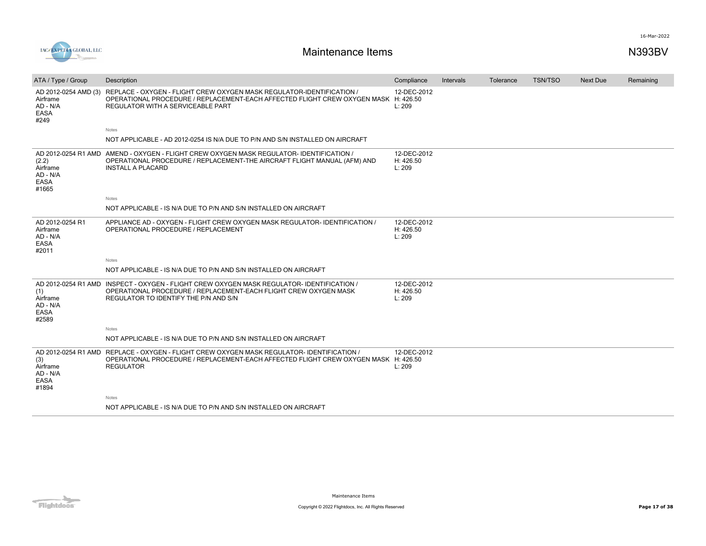

| ATA / Type / Group                                       | Description                                                                                                                                                                                                            | Compliance                         | <b>Intervals</b> | Tolerance | <b>TSN/TSO</b> | Next Due | Remaining |
|----------------------------------------------------------|------------------------------------------------------------------------------------------------------------------------------------------------------------------------------------------------------------------------|------------------------------------|------------------|-----------|----------------|----------|-----------|
| Airframe<br>AD - N/A<br><b>EASA</b><br>#249              | AD 2012-0254 AMD (3) REPLACE - OXYGEN - FLIGHT CREW OXYGEN MASK REGULATOR-IDENTIFICATION /<br>OPERATIONAL PROCEDURE / REPLACEMENT-EACH AFFECTED FLIGHT CREW OXYGEN MASK H: 426.50<br>REGULATOR WITH A SERVICEABLE PART | 12-DEC-2012<br>L: 209              |                  |           |                |          |           |
|                                                          | Notes                                                                                                                                                                                                                  |                                    |                  |           |                |          |           |
|                                                          | NOT APPLICABLE - AD 2012-0254 IS N/A DUE TO P/N AND S/N INSTALLED ON AIRCRAFT                                                                                                                                          |                                    |                  |           |                |          |           |
| (2.2)<br>Airframe<br>AD - N/A<br><b>EASA</b><br>#1665    | AD 2012-0254 R1 AMD AMEND - OXYGEN - FLIGHT CREW OXYGEN MASK REGULATOR-IDENTIFICATION /<br>OPERATIONAL PROCEDURE / REPLACEMENT-THE AIRCRAFT FLIGHT MANUAL (AFM) AND<br><b>INSTALL A PLACARD</b>                        | 12-DEC-2012<br>H: 426.50<br>L: 209 |                  |           |                |          |           |
|                                                          | Notes                                                                                                                                                                                                                  |                                    |                  |           |                |          |           |
|                                                          | NOT APPLICABLE - IS N/A DUE TO P/N AND S/N INSTALLED ON AIRCRAFT                                                                                                                                                       |                                    |                  |           |                |          |           |
| AD 2012-0254 R1<br>Airframe<br>AD - N/A<br>EASA<br>#2011 | APPLIANCE AD - OXYGEN - FLIGHT CREW OXYGEN MASK REGULATOR- IDENTIFICATION /<br>OPERATIONAL PROCEDURE / REPLACEMENT                                                                                                     | 12-DEC-2012<br>H: 426.50<br>L: 209 |                  |           |                |          |           |
|                                                          | Notes                                                                                                                                                                                                                  |                                    |                  |           |                |          |           |
|                                                          | NOT APPLICABLE - IS N/A DUE TO P/N AND S/N INSTALLED ON AIRCRAFT                                                                                                                                                       |                                    |                  |           |                |          |           |
| (1)<br>Airframe<br>AD - N/A<br><b>EASA</b><br>#2589      | AD 2012-0254 R1 AMD INSPECT - OXYGEN - FLIGHT CREW OXYGEN MASK REGULATOR-IDENTIFICATION /<br>OPERATIONAL PROCEDURE / REPLACEMENT-EACH FLIGHT CREW OXYGEN MASK<br>REGULATOR TO IDENTIFY THE P/N AND S/N                 | 12-DEC-2012<br>H: 426.50<br>L: 209 |                  |           |                |          |           |
|                                                          | Notes                                                                                                                                                                                                                  |                                    |                  |           |                |          |           |
|                                                          | NOT APPLICABLE - IS N/A DUE TO P/N AND S/N INSTALLED ON AIRCRAFT                                                                                                                                                       |                                    |                  |           |                |          |           |
| (3)<br>Airframe<br>AD - N/A<br>EASA<br>#1894             | AD 2012-0254 R1 AMD REPLACE - OXYGEN - FLIGHT CREW OXYGEN MASK REGULATOR- IDENTIFICATION /<br>OPERATIONAL PROCEDURE / REPLACEMENT-EACH AFFECTED FLIGHT CREW OXYGEN MASK H: 426.50<br><b>REGULATOR</b>                  | 12-DEC-2012<br>L: 209              |                  |           |                |          |           |
|                                                          | Notes                                                                                                                                                                                                                  |                                    |                  |           |                |          |           |
|                                                          | NOT APPLICABLE - IS N/A DUE TO P/N AND S/N INSTALLED ON AIRCRAFT                                                                                                                                                       |                                    |                  |           |                |          |           |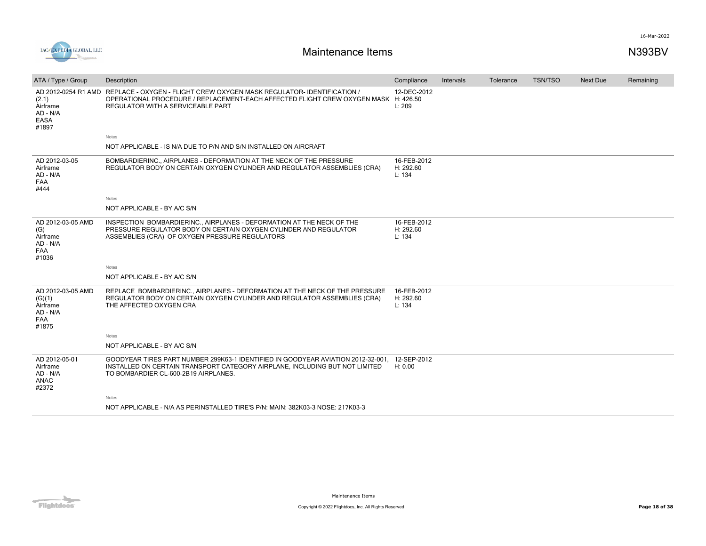

| ATA / Type / Group                                                      | Description                                                                                                                                                                                                            | Compliance                         | Intervals | Tolerance | <b>TSN/TSO</b> | Next Due | Remaining |
|-------------------------------------------------------------------------|------------------------------------------------------------------------------------------------------------------------------------------------------------------------------------------------------------------------|------------------------------------|-----------|-----------|----------------|----------|-----------|
| (2.1)<br>Airframe<br>AD - N/A<br><b>EASA</b><br>#1897                   | AD 2012-0254 R1 AMD REPLACE - OXYGEN - FLIGHT CREW OXYGEN MASK REGULATOR- IDENTIFICATION /<br>OPERATIONAL PROCEDURE / REPLACEMENT-EACH AFFECTED FLIGHT CREW OXYGEN MASK H: 426.50<br>REGULATOR WITH A SERVICEABLE PART | 12-DEC-2012<br>L: 209              |           |           |                |          |           |
|                                                                         | Notes                                                                                                                                                                                                                  |                                    |           |           |                |          |           |
|                                                                         | NOT APPLICABLE - IS N/A DUE TO P/N AND S/N INSTALLED ON AIRCRAFT                                                                                                                                                       |                                    |           |           |                |          |           |
| AD 2012-03-05<br>Airframe<br>AD - N/A<br>FAA<br>#444                    | BOMBARDIERINC., AIRPLANES - DEFORMATION AT THE NECK OF THE PRESSURE<br>REGULATOR BODY ON CERTAIN OXYGEN CYLINDER AND REGULATOR ASSEMBLIES (CRA)                                                                        | 16-FEB-2012<br>H: 292.60<br>L: 134 |           |           |                |          |           |
|                                                                         | <b>Notes</b>                                                                                                                                                                                                           |                                    |           |           |                |          |           |
|                                                                         | NOT APPLICABLE - BY A/C S/N                                                                                                                                                                                            |                                    |           |           |                |          |           |
| AD 2012-03-05 AMD<br>(G)<br>Airframe<br>AD - N/A<br><b>FAA</b><br>#1036 | INSPECTION BOMBARDIERINC., AIRPLANES - DEFORMATION AT THE NECK OF THE<br>PRESSURE REGULATOR BODY ON CERTAIN OXYGEN CYLINDER AND REGULATOR<br>ASSEMBLIES (CRA) OF OXYGEN PRESSURE REGULATORS                            | 16-FEB-2012<br>H: 292.60<br>L: 134 |           |           |                |          |           |
|                                                                         | Notes                                                                                                                                                                                                                  |                                    |           |           |                |          |           |
|                                                                         | NOT APPLICABLE - BY A/C S/N                                                                                                                                                                                            |                                    |           |           |                |          |           |
| AD 2012-03-05 AMD<br>(G)(1)<br>Airframe<br>AD - N/A<br>FAA<br>#1875     | REPLACE BOMBARDIERINC., AIRPLANES - DEFORMATION AT THE NECK OF THE PRESSURE<br>REGULATOR BODY ON CERTAIN OXYGEN CYLINDER AND REGULATOR ASSEMBLIES (CRA)<br>THE AFFECTED OXYGEN CRA                                     | 16-FEB-2012<br>H: 292.60<br>L: 134 |           |           |                |          |           |
|                                                                         | <b>Notes</b>                                                                                                                                                                                                           |                                    |           |           |                |          |           |
|                                                                         | NOT APPLICABLE - BY A/C S/N                                                                                                                                                                                            |                                    |           |           |                |          |           |
| AD 2012-05-01<br>Airframe<br>AD - N/A<br>ANAC<br>#2372                  | GOODYEAR TIRES PART NUMBER 299K63-1 IDENTIFIED IN GOODYEAR AVIATION 2012-32-001, 12-SEP-2012<br>INSTALLED ON CERTAIN TRANSPORT CATEGORY AIRPLANE, INCLUDING BUT NOT LIMITED<br>TO BOMBARDIER CL-600-2B19 AIRPLANES.    | H: 0.00                            |           |           |                |          |           |
|                                                                         | Notes                                                                                                                                                                                                                  |                                    |           |           |                |          |           |
|                                                                         | NOT APPLICABLE - N/A AS PERINSTALLED TIRE'S P/N: MAIN: 382K03-3 NOSE: 217K03-3                                                                                                                                         |                                    |           |           |                |          |           |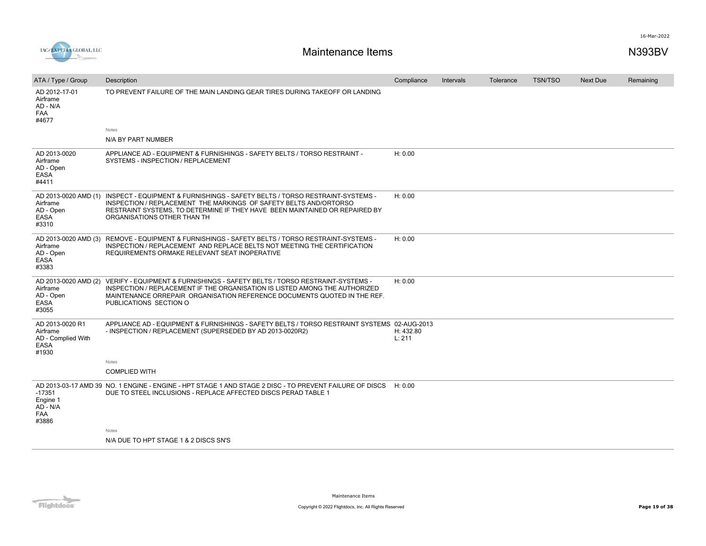

| ATA / Type / Group                                                        | Description                                                                                                                                                                                                                                                      | Compliance          | <b>Intervals</b> | Tolerance | <b>TSN/TSO</b> | <b>Next Due</b> | Remaining |
|---------------------------------------------------------------------------|------------------------------------------------------------------------------------------------------------------------------------------------------------------------------------------------------------------------------------------------------------------|---------------------|------------------|-----------|----------------|-----------------|-----------|
| AD 2012-17-01<br>Airframe<br>AD - N/A<br><b>FAA</b><br>#4677              | TO PREVENT FAILURE OF THE MAIN LANDING GEAR TIRES DURING TAKEOFF OR LANDING                                                                                                                                                                                      |                     |                  |           |                |                 |           |
|                                                                           | Notes                                                                                                                                                                                                                                                            |                     |                  |           |                |                 |           |
|                                                                           | N/A BY PART NUMBER                                                                                                                                                                                                                                               |                     |                  |           |                |                 |           |
| AD 2013-0020<br>Airframe<br>AD - Open<br>EASA<br>#4411                    | APPLIANCE AD - EQUIPMENT & FURNISHINGS - SAFETY BELTS / TORSO RESTRAINT -<br>SYSTEMS - INSPECTION / REPLACEMENT                                                                                                                                                  | H: 0.00             |                  |           |                |                 |           |
| AD 2013-0020 AMD (1)<br>Airframe<br>AD - Open<br>EASA<br>#3310            | INSPECT - EQUIPMENT & FURNISHINGS - SAFETY BELTS / TORSO RESTRAINT-SYSTEMS -<br>INSPECTION / REPLACEMENT THE MARKINGS OF SAFETY BELTS AND/ORTORSO<br>RESTRAINT SYSTEMS, TO DETERMINE IF THEY HAVE BEEN MAINTAINED OR REPAIRED BY<br>ORGANISATIONS OTHER THAN TH  | H: 0.00             |                  |           |                |                 |           |
| AD 2013-0020 AMD (3)<br>Airframe<br>AD - Open<br>EASA<br>#3383            | REMOVE - EQUIPMENT & FURNISHINGS - SAFETY BELTS / TORSO RESTRAINT-SYSTEMS -<br>INSPECTION / REPLACEMENT AND REPLACE BELTS NOT MEETING THE CERTIFICATION<br>REQUIREMENTS ORMAKE RELEVANT SEAT INOPERATIVE                                                         | H: 0.00             |                  |           |                |                 |           |
| AD 2013-0020 AMD (2)<br>Airframe<br>AD - Open<br>EASA<br>#3055            | VERIFY - EQUIPMENT & FURNISHINGS - SAFETY BELTS / TORSO RESTRAINT-SYSTEMS -<br>INSPECTION / REPLACEMENT IF THE ORGANISATION IS LISTED AMONG THE AUTHORIZED<br>MAINTENANCE ORREPAIR ORGANISATION REFERENCE DOCUMENTS QUOTED IN THE REF.<br>PUBLICATIONS SECTION O | H: 0.00             |                  |           |                |                 |           |
| AD 2013-0020 R1<br>Airframe<br>AD - Complied With<br><b>EASA</b><br>#1930 | APPLIANCE AD - EQUIPMENT & FURNISHINGS - SAFETY BELTS / TORSO RESTRAINT SYSTEMS 02-AUG-2013<br>- INSPECTION / REPLACEMENT (SUPERSEDED BY AD 2013-0020R2)                                                                                                         | H: 432.80<br>L: 211 |                  |           |                |                 |           |
|                                                                           | Notes                                                                                                                                                                                                                                                            |                     |                  |           |                |                 |           |
|                                                                           | <b>COMPLIED WITH</b>                                                                                                                                                                                                                                             |                     |                  |           |                |                 |           |
| $-17351$<br>Engine 1<br>AD - N/A<br><b>FAA</b><br>#3886                   | AD 2013-03-17 AMD 39 NO. 1 ENGINE - ENGINE - HPT STAGE 1 AND STAGE 2 DISC - TO PREVENT FAILURE OF DISCS<br>DUE TO STEEL INCLUSIONS - REPLACE AFFECTED DISCS PERAD TABLE 1                                                                                        | H: 0.00             |                  |           |                |                 |           |
|                                                                           | Notes                                                                                                                                                                                                                                                            |                     |                  |           |                |                 |           |
|                                                                           | N/A DUE TO HPT STAGE 1 & 2 DISCS SN'S                                                                                                                                                                                                                            |                     |                  |           |                |                 |           |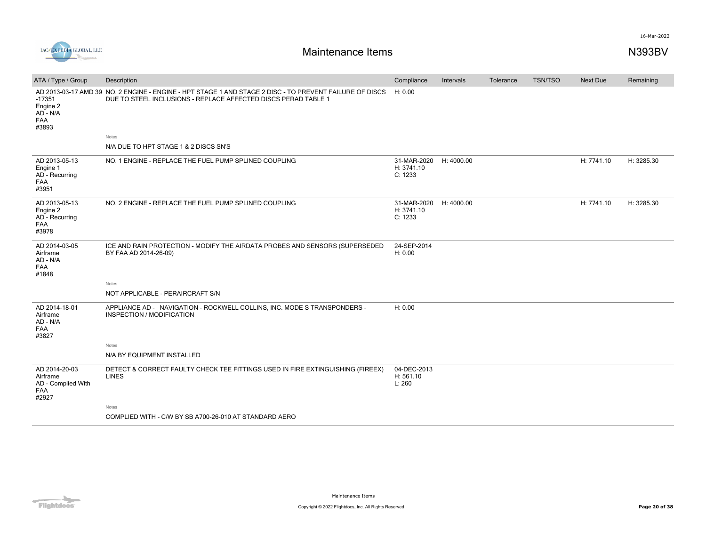

| ATA / Type / Group                                              | Description                                                                                                                                                               | Compliance                                      | Intervals | Tolerance | <b>TSN/TSO</b> | Next Due   | Remaining  |
|-----------------------------------------------------------------|---------------------------------------------------------------------------------------------------------------------------------------------------------------------------|-------------------------------------------------|-----------|-----------|----------------|------------|------------|
| $-17351$<br>Engine 2<br>AD - N/A<br>FAA<br>#3893                | AD 2013-03-17 AMD 39 NO. 2 ENGINE - ENGINE - HPT STAGE 1 AND STAGE 2 DISC - TO PREVENT FAILURE OF DISCS<br>DUE TO STEEL INCLUSIONS - REPLACE AFFECTED DISCS PERAD TABLE 1 | H: 0.00                                         |           |           |                |            |            |
|                                                                 | Notes                                                                                                                                                                     |                                                 |           |           |                |            |            |
|                                                                 | N/A DUE TO HPT STAGE 1 & 2 DISCS SN'S                                                                                                                                     |                                                 |           |           |                |            |            |
| AD 2013-05-13<br>Engine 1<br>AD - Recurring<br>FAA<br>#3951     | NO. 1 ENGINE - REPLACE THE FUEL PUMP SPLINED COUPLING                                                                                                                     | 31-MAR-2020 H: 4000.00<br>H: 3741.10<br>C: 1233 |           |           |                | H: 7741.10 | H: 3285.30 |
| AD 2013-05-13<br>Engine 2<br>AD - Recurring<br>FAA<br>#3978     | NO. 2 ENGINE - REPLACE THE FUEL PUMP SPLINED COUPLING                                                                                                                     | 31-MAR-2020 H: 4000.00<br>H: 3741.10<br>C: 1233 |           |           |                | H: 7741.10 | H: 3285.30 |
| AD 2014-03-05<br>Airframe<br>AD - N/A<br>FAA<br>#1848           | ICE AND RAIN PROTECTION - MODIFY THE AIRDATA PROBES AND SENSORS (SUPERSEDED<br>BY FAA AD 2014-26-09)                                                                      | 24-SEP-2014<br>H: 0.00                          |           |           |                |            |            |
|                                                                 | Notes                                                                                                                                                                     |                                                 |           |           |                |            |            |
|                                                                 | NOT APPLICABLE - PERAIRCRAFT S/N                                                                                                                                          |                                                 |           |           |                |            |            |
| AD 2014-18-01<br>Airframe<br>AD - N/A<br>FAA<br>#3827           | APPLIANCE AD - NAVIGATION - ROCKWELL COLLINS, INC. MODE S TRANSPONDERS -<br>INSPECTION / MODIFICATION                                                                     | H: 0.00                                         |           |           |                |            |            |
|                                                                 | Notes                                                                                                                                                                     |                                                 |           |           |                |            |            |
|                                                                 | N/A BY EQUIPMENT INSTALLED                                                                                                                                                |                                                 |           |           |                |            |            |
| AD 2014-20-03<br>Airframe<br>AD - Complied With<br>FAA<br>#2927 | DETECT & CORRECT FAULTY CHECK TEE FITTINGS USED IN FIRE EXTINGUISHING (FIREEX)<br><b>LINES</b>                                                                            | 04-DEC-2013<br>H: 561.10<br>L: 260              |           |           |                |            |            |
|                                                                 | Notes                                                                                                                                                                     |                                                 |           |           |                |            |            |
|                                                                 | COMPLIED WITH - C/W BY SB A700-26-010 AT STANDARD AERO                                                                                                                    |                                                 |           |           |                |            |            |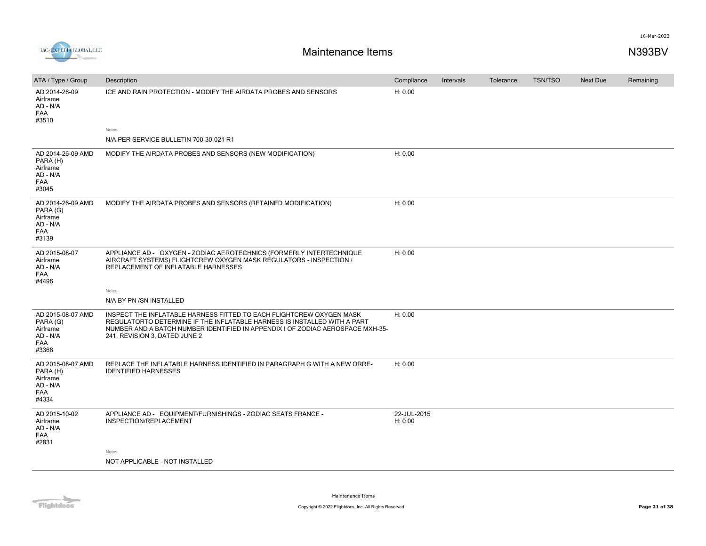



| ATA / Type / Group                                                           | Description                                                                                                                                                                                                                                                         | Compliance             | Intervals | Tolerance | <b>TSN/TSO</b> | <b>Next Due</b> | Remaining |
|------------------------------------------------------------------------------|---------------------------------------------------------------------------------------------------------------------------------------------------------------------------------------------------------------------------------------------------------------------|------------------------|-----------|-----------|----------------|-----------------|-----------|
| AD 2014-26-09<br>Airframe<br>AD - N/A<br><b>FAA</b><br>#3510                 | ICE AND RAIN PROTECTION - MODIFY THE AIRDATA PROBES AND SENSORS<br>Notes                                                                                                                                                                                            | H: 0.00                |           |           |                |                 |           |
|                                                                              | N/A PER SERVICE BULLETIN 700-30-021 R1                                                                                                                                                                                                                              |                        |           |           |                |                 |           |
| AD 2014-26-09 AMD<br>PARA (H)<br>Airframe<br>AD - N/A<br><b>FAA</b><br>#3045 | MODIFY THE AIRDATA PROBES AND SENSORS (NEW MODIFICATION)                                                                                                                                                                                                            | H: 0.00                |           |           |                |                 |           |
| AD 2014-26-09 AMD<br>PARA (G)<br>Airframe<br>AD - N/A<br><b>FAA</b><br>#3139 | MODIFY THE AIRDATA PROBES AND SENSORS (RETAINED MODIFICATION)                                                                                                                                                                                                       | H: 0.00                |           |           |                |                 |           |
| AD 2015-08-07<br>Airframe<br>AD - N/A<br><b>FAA</b><br>#4496                 | APPLIANCE AD - OXYGEN - ZODIAC AEROTECHNICS (FORMERLY INTERTECHNIQUE<br>AIRCRAFT SYSTEMS) FLIGHTCREW OXYGEN MASK REGULATORS - INSPECTION /<br>REPLACEMENT OF INFLATABLE HARNESSES                                                                                   | H: 0.00                |           |           |                |                 |           |
|                                                                              | Notes<br>N/A BY PN /SN INSTALLED                                                                                                                                                                                                                                    |                        |           |           |                |                 |           |
| AD 2015-08-07 AMD<br>PARA (G)<br>Airframe<br>AD - N/A<br><b>FAA</b><br>#3368 | INSPECT THE INFLATABLE HARNESS FITTED TO EACH FLIGHTCREW OXYGEN MASK<br>REGULATORTO DETERMINE IF THE INFLATABLE HARNESS IS INSTALLED WITH A PART<br>NUMBER AND A BATCH NUMBER IDENTIFIED IN APPENDIX I OF ZODIAC AEROSPACE MXH-35-<br>241, REVISION 3, DATED JUNE 2 | H: 0.00                |           |           |                |                 |           |
| AD 2015-08-07 AMD<br>PARA (H)<br>Airframe<br>AD - N/A<br><b>FAA</b><br>#4334 | REPLACE THE INFLATABLE HARNESS IDENTIFIED IN PARAGRAPH G WITH A NEW ORRE-<br><b>IDENTIFIED HARNESSES</b>                                                                                                                                                            | H: 0.00                |           |           |                |                 |           |
| AD 2015-10-02<br>Airframe<br>AD - N/A<br><b>FAA</b><br>#2831                 | APPLIANCE AD - EQUIPMENT/FURNISHINGS - ZODIAC SEATS FRANCE -<br>INSPECTION/REPLACEMENT                                                                                                                                                                              | 22-JUL-2015<br>H: 0.00 |           |           |                |                 |           |
|                                                                              | Notes                                                                                                                                                                                                                                                               |                        |           |           |                |                 |           |
|                                                                              | NOT APPLICABLE - NOT INSTALLED                                                                                                                                                                                                                                      |                        |           |           |                |                 |           |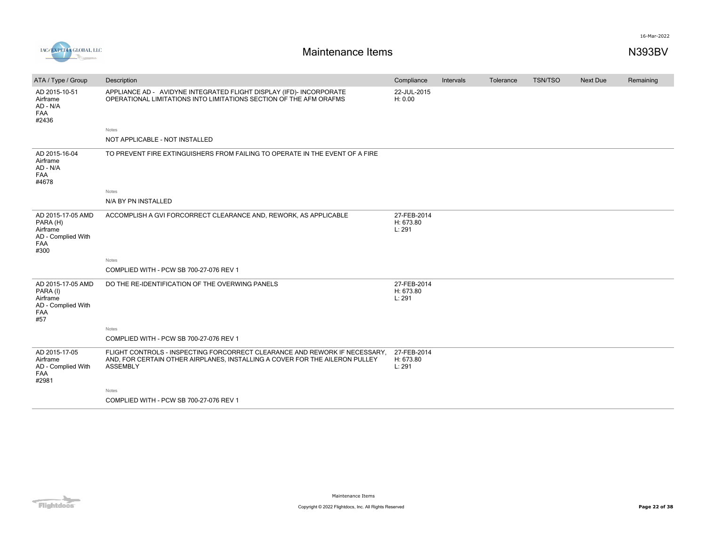

| ATA / Type / Group                                                             | Description                                                                                                                                                                  | Compliance                         | Intervals | Tolerance | TSN/TSO | <b>Next Due</b> | Remaining |
|--------------------------------------------------------------------------------|------------------------------------------------------------------------------------------------------------------------------------------------------------------------------|------------------------------------|-----------|-----------|---------|-----------------|-----------|
| AD 2015-10-51<br>Airframe<br>AD - N/A<br>FAA<br>#2436                          | APPLIANCE AD - AVIDYNE INTEGRATED FLIGHT DISPLAY (IFD)- INCORPORATE<br>OPERATIONAL LIMITATIONS INTO LIMITATIONS SECTION OF THE AFM ORAFMS                                    | 22-JUL-2015<br>H: 0.00             |           |           |         |                 |           |
|                                                                                | Notes                                                                                                                                                                        |                                    |           |           |         |                 |           |
|                                                                                | NOT APPLICABLE - NOT INSTALLED                                                                                                                                               |                                    |           |           |         |                 |           |
| AD 2015-16-04<br>Airframe<br>AD - N/A<br>FAA<br>#4678                          | TO PREVENT FIRE EXTINGUISHERS FROM FAILING TO OPERATE IN THE EVENT OF A FIRE                                                                                                 |                                    |           |           |         |                 |           |
|                                                                                | Notes                                                                                                                                                                        |                                    |           |           |         |                 |           |
|                                                                                | N/A BY PN INSTALLED                                                                                                                                                          |                                    |           |           |         |                 |           |
| AD 2015-17-05 AMD<br>PARA (H)<br>Airframe<br>AD - Complied With<br>FAA<br>#300 | ACCOMPLISH A GVI FORCORRECT CLEARANCE AND, REWORK, AS APPLICABLE                                                                                                             | 27-FEB-2014<br>H: 673.80<br>L: 291 |           |           |         |                 |           |
|                                                                                | Notes                                                                                                                                                                        |                                    |           |           |         |                 |           |
|                                                                                | COMPLIED WITH - PCW SB 700-27-076 REV 1                                                                                                                                      |                                    |           |           |         |                 |           |
| AD 2015-17-05 AMD<br>PARA (I)<br>Airframe<br>AD - Complied With<br>FAA<br>#57  | DO THE RE-IDENTIFICATION OF THE OVERWING PANELS                                                                                                                              | 27-FEB-2014<br>H: 673.80<br>L: 291 |           |           |         |                 |           |
|                                                                                | Notes                                                                                                                                                                        |                                    |           |           |         |                 |           |
|                                                                                | COMPLIED WITH - PCW SB 700-27-076 REV 1                                                                                                                                      |                                    |           |           |         |                 |           |
| AD 2015-17-05<br>Airframe<br>AD - Complied With<br><b>FAA</b><br>#2981         | FLIGHT CONTROLS - INSPECTING FORCORRECT CLEARANCE AND REWORK IF NECESSARY,<br>AND, FOR CERTAIN OTHER AIRPLANES, INSTALLING A COVER FOR THE AILERON PULLEY<br><b>ASSEMBLY</b> | 27-FEB-2014<br>H: 673.80<br>L: 291 |           |           |         |                 |           |
|                                                                                | Notes                                                                                                                                                                        |                                    |           |           |         |                 |           |
|                                                                                | COMPLIED WITH - PCW SB 700-27-076 REV 1                                                                                                                                      |                                    |           |           |         |                 |           |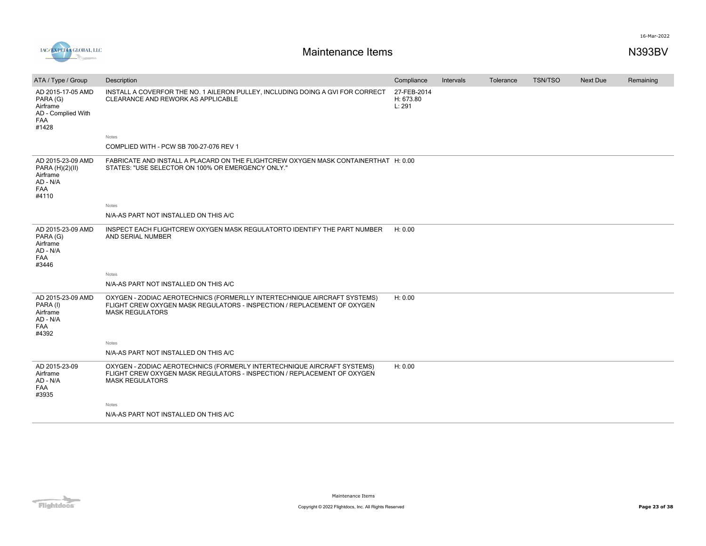

| ATA / Type / Group                                                                     | Description                                                                                                                                                                   | Compliance                         | Intervals | Tolerance | <b>TSN/TSO</b> | <b>Next Due</b> | Remaining |
|----------------------------------------------------------------------------------------|-------------------------------------------------------------------------------------------------------------------------------------------------------------------------------|------------------------------------|-----------|-----------|----------------|-----------------|-----------|
| AD 2015-17-05 AMD<br>PARA (G)<br>Airframe<br>AD - Complied With<br><b>FAA</b><br>#1428 | INSTALL A COVERFOR THE NO. 1 AILERON PULLEY, INCLUDING DOING A GVI FOR CORRECT<br>CLEARANCE AND REWORK AS APPLICABLE                                                          | 27-FEB-2014<br>H: 673.80<br>L: 291 |           |           |                |                 |           |
|                                                                                        | <b>Notes</b>                                                                                                                                                                  |                                    |           |           |                |                 |           |
|                                                                                        | COMPLIED WITH - PCW SB 700-27-076 REV 1                                                                                                                                       |                                    |           |           |                |                 |           |
| AD 2015-23-09 AMD<br>PARA (H)(2)(II)<br>Airframe<br>AD - N/A<br>FAA<br>#4110           | FABRICATE AND INSTALL A PLACARD ON THE FLIGHTCREW OXYGEN MASK CONTAINERTHAT H: 0.00<br>STATES: "USE SELECTOR ON 100% OR EMERGENCY ONLY."                                      |                                    |           |           |                |                 |           |
|                                                                                        | <b>Notes</b>                                                                                                                                                                  |                                    |           |           |                |                 |           |
|                                                                                        | N/A-AS PART NOT INSTALLED ON THIS A/C                                                                                                                                         |                                    |           |           |                |                 |           |
| AD 2015-23-09 AMD<br>PARA (G)<br>Airframe<br>AD - N/A<br>FAA<br>#3446                  | INSPECT EACH FLIGHTCREW OXYGEN MASK REGULATORTO IDENTIFY THE PART NUMBER<br>AND SERIAL NUMBER                                                                                 | H: 0.00                            |           |           |                |                 |           |
|                                                                                        | <b>Notes</b>                                                                                                                                                                  |                                    |           |           |                |                 |           |
|                                                                                        | N/A-AS PART NOT INSTALLED ON THIS A/C                                                                                                                                         |                                    |           |           |                |                 |           |
| AD 2015-23-09 AMD<br>PARA (I)<br>Airframe<br>AD - N/A<br><b>FAA</b><br>#4392           | OXYGEN - ZODIAC AEROTECHNICS (FORMERLLY INTERTECHNIQUE AIRCRAFT SYSTEMS)<br>FLIGHT CREW OXYGEN MASK REGULATORS - INSPECTION / REPLACEMENT OF OXYGEN<br><b>MASK REGULATORS</b> | H: 0.00                            |           |           |                |                 |           |
|                                                                                        | <b>Notes</b>                                                                                                                                                                  |                                    |           |           |                |                 |           |
|                                                                                        | N/A-AS PART NOT INSTALLED ON THIS A/C                                                                                                                                         |                                    |           |           |                |                 |           |
| AD 2015-23-09<br>Airframe<br>AD - N/A<br>FAA<br>#3935                                  | OXYGEN - ZODIAC AEROTECHNICS (FORMERLY INTERTECHNIQUE AIRCRAFT SYSTEMS)<br>FLIGHT CREW OXYGEN MASK REGULATORS - INSPECTION / REPLACEMENT OF OXYGEN<br><b>MASK REGULATORS</b>  | H: 0.00                            |           |           |                |                 |           |
|                                                                                        | Notes                                                                                                                                                                         |                                    |           |           |                |                 |           |
|                                                                                        | N/A-AS PART NOT INSTALLED ON THIS A/C                                                                                                                                         |                                    |           |           |                |                 |           |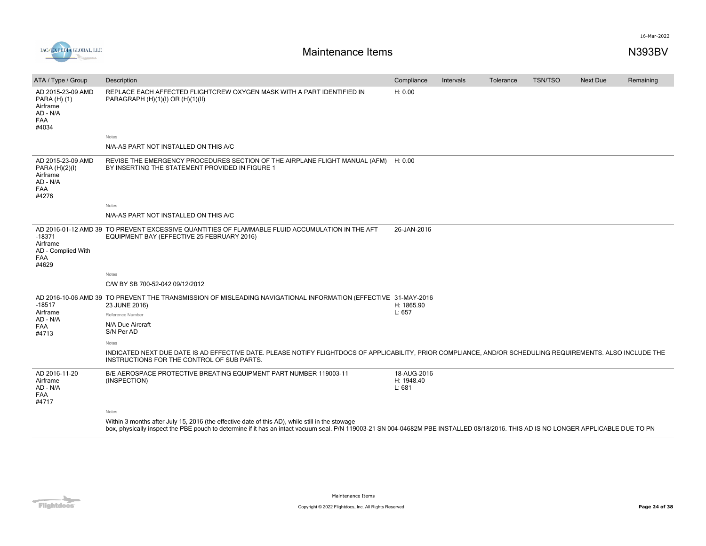

| ATA / Type / Group                                                          | Description                                                                                                                                                                                                                                                                            | Compliance                          | Intervals | Tolerance | <b>TSN/TSO</b> | <b>Next Due</b> | Remaining |
|-----------------------------------------------------------------------------|----------------------------------------------------------------------------------------------------------------------------------------------------------------------------------------------------------------------------------------------------------------------------------------|-------------------------------------|-----------|-----------|----------------|-----------------|-----------|
| AD 2015-23-09 AMD<br>PARA (H) (1)<br>Airframe<br>AD - N/A<br>FAA<br>#4034   | REPLACE EACH AFFECTED FLIGHTCREW OXYGEN MASK WITH A PART IDENTIFIED IN<br>PARAGRAPH (H)(1)(I) OR (H)(1)(II)                                                                                                                                                                            | H: 0.00                             |           |           |                |                 |           |
|                                                                             | Notes                                                                                                                                                                                                                                                                                  |                                     |           |           |                |                 |           |
|                                                                             | N/A-AS PART NOT INSTALLED ON THIS A/C                                                                                                                                                                                                                                                  |                                     |           |           |                |                 |           |
| AD 2015-23-09 AMD<br>PARA (H)(2)(I)<br>Airframe<br>AD - N/A<br>FAA<br>#4276 | REVISE THE EMERGENCY PROCEDURES SECTION OF THE AIRPLANE FLIGHT MANUAL (AFM) H: 0.00<br>BY INSERTING THE STATEMENT PROVIDED IN FIGURE 1                                                                                                                                                 |                                     |           |           |                |                 |           |
|                                                                             | Notes                                                                                                                                                                                                                                                                                  |                                     |           |           |                |                 |           |
|                                                                             | N/A-AS PART NOT INSTALLED ON THIS A/C                                                                                                                                                                                                                                                  |                                     |           |           |                |                 |           |
| $-18371$<br>Airframe<br>AD - Complied With<br><b>FAA</b><br>#4629           | AD 2016-01-12 AMD 39 TO PREVENT EXCESSIVE QUANTITIES OF FLAMMABLE FLUID ACCUMULATION IN THE AFT<br>EQUIPMENT BAY (EFFECTIVE 25 FEBRUARY 2016)                                                                                                                                          | 26-JAN-2016                         |           |           |                |                 |           |
|                                                                             | Notes                                                                                                                                                                                                                                                                                  |                                     |           |           |                |                 |           |
|                                                                             | C/W BY SB 700-52-042 09/12/2012                                                                                                                                                                                                                                                        |                                     |           |           |                |                 |           |
| $-18517$<br>Airframe<br>AD - N/A<br><b>FAA</b><br>#4713                     | AD 2016-10-06 AMD 39 TO PREVENT THE TRANSMISSION OF MISLEADING NAVIGATIONAL INFORMATION (EFFECTIVE 31-MAY-2016<br>23 JUNE 2016)<br>Reference Number<br>N/A Due Aircraft<br>S/N Per AD                                                                                                  | H: 1865.90<br>L: 657                |           |           |                |                 |           |
|                                                                             | <b>Notes</b>                                                                                                                                                                                                                                                                           |                                     |           |           |                |                 |           |
|                                                                             | INDICATED NEXT DUE DATE IS AD EFFECTIVE DATE. PLEASE NOTIFY FLIGHTDOCS OF APPLICABILITY, PRIOR COMPLIANCE, AND/OR SCHEDULING REQUIREMENTS. ALSO INCLUDE THE<br>INSTRUCTIONS FOR THE CONTROL OF SUB PARTS.                                                                              |                                     |           |           |                |                 |           |
| AD 2016-11-20<br>Airframe<br>AD - N/A<br><b>FAA</b><br>#4717                | B/E AEROSPACE PROTECTIVE BREATING EQUIPMENT PART NUMBER 119003-11<br>(INSPECTION)                                                                                                                                                                                                      | 18-AUG-2016<br>H: 1948.40<br>L: 681 |           |           |                |                 |           |
|                                                                             | <b>Notes</b>                                                                                                                                                                                                                                                                           |                                     |           |           |                |                 |           |
|                                                                             | Within 3 months after July 15, 2016 (the effective date of this AD), while still in the stowage<br>box, physically inspect the PBE pouch to determine if it has an intact vacuum seal. P/N 119003-21 SN 004-04682M PBE INSTALLED 08/18/2016. THIS AD IS NO LONGER APPLICABLE DUE TO PN |                                     |           |           |                |                 |           |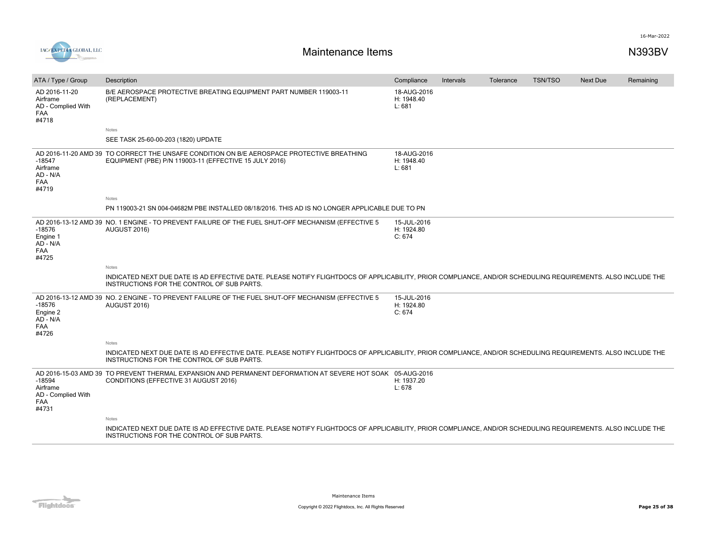



| ATA / Type / Group                                                     | Description                                                                                                                                                                                               | Compliance                          | Intervals | Tolerance | <b>TSN/TSO</b> | <b>Next Due</b> | Remaining |
|------------------------------------------------------------------------|-----------------------------------------------------------------------------------------------------------------------------------------------------------------------------------------------------------|-------------------------------------|-----------|-----------|----------------|-----------------|-----------|
| AD 2016-11-20<br>Airframe<br>AD - Complied With<br><b>FAA</b><br>#4718 | B/E AEROSPACE PROTECTIVE BREATING EQUIPMENT PART NUMBER 119003-11<br>(REPLACEMENT)                                                                                                                        | 18-AUG-2016<br>H: 1948.40<br>L: 681 |           |           |                |                 |           |
|                                                                        | Notes                                                                                                                                                                                                     |                                     |           |           |                |                 |           |
|                                                                        | SEE TASK 25-60-00-203 (1820) UPDATE                                                                                                                                                                       |                                     |           |           |                |                 |           |
| $-18547$<br>Airframe<br>AD - N/A<br><b>FAA</b><br>#4719                | AD 2016-11-20 AMD 39 TO CORRECT THE UNSAFE CONDITION ON B/E AEROSPACE PROTECTIVE BREATHING<br>EQUIPMENT (PBE) P/N 119003-11 (EFFECTIVE 15 JULY 2016)                                                      | 18-AUG-2016<br>H: 1948.40<br>L: 681 |           |           |                |                 |           |
|                                                                        | Notes                                                                                                                                                                                                     |                                     |           |           |                |                 |           |
|                                                                        | PN 119003-21 SN 004-04682M PBE INSTALLED 08/18/2016. THIS AD IS NO LONGER APPLICABLE DUE TO PN                                                                                                            |                                     |           |           |                |                 |           |
| $-18576$<br>Engine 1<br>AD - N/A<br><b>FAA</b><br>#4725                | AD 2016-13-12 AMD 39 NO. 1 ENGINE - TO PREVENT FAILURE OF THE FUEL SHUT-OFF MECHANISM (EFFECTIVE 5<br>AUGUST 2016)                                                                                        | 15-JUL-2016<br>H: 1924.80<br>C: 674 |           |           |                |                 |           |
|                                                                        | Notes                                                                                                                                                                                                     |                                     |           |           |                |                 |           |
|                                                                        | INDICATED NEXT DUE DATE IS AD EFFECTIVE DATE. PLEASE NOTIFY FLIGHTDOCS OF APPLICABILITY, PRIOR COMPLIANCE, AND/OR SCHEDULING REQUIREMENTS. ALSO INCLUDE THE<br>INSTRUCTIONS FOR THE CONTROL OF SUB PARTS. |                                     |           |           |                |                 |           |
| $-18576$<br>Engine 2<br>$AD - N/A$<br><b>FAA</b><br>#4726              | AD 2016-13-12 AMD 39 NO. 2 ENGINE - TO PREVENT FAILURE OF THE FUEL SHUT-OFF MECHANISM (EFFECTIVE 5<br>AUGUST 2016)                                                                                        | 15-JUL-2016<br>H: 1924.80<br>C: 674 |           |           |                |                 |           |
|                                                                        | Notes                                                                                                                                                                                                     |                                     |           |           |                |                 |           |
|                                                                        | INDICATED NEXT DUE DATE IS AD EFFECTIVE DATE. PLEASE NOTIFY FLIGHTDOCS OF APPLICABILITY, PRIOR COMPLIANCE, AND/OR SCHEDULING REQUIREMENTS. ALSO INCLUDE THE<br>INSTRUCTIONS FOR THE CONTROL OF SUB PARTS. |                                     |           |           |                |                 |           |
| $-18594$<br>Airframe<br>AD - Complied With<br><b>FAA</b><br>#4731      | AD 2016-15-03 AMD 39 TO PREVENT THERMAL EXPANSION AND PERMANENT DEFORMATION AT SEVERE HOT SOAK 05-AUG-2016<br>CONDITIONS (EFFECTIVE 31 AUGUST 2016)                                                       | H: 1937.20<br>L: 678                |           |           |                |                 |           |
|                                                                        | Notes                                                                                                                                                                                                     |                                     |           |           |                |                 |           |
|                                                                        | INDICATED NEXT DUE DATE IS AD EFFECTIVE DATE. PLEASE NOTIFY FLIGHTDOCS OF APPLICABILITY, PRIOR COMPLIANCE, AND/OR SCHEDULING REQUIREMENTS. ALSO INCLUDE THE<br>INSTRUCTIONS FOR THE CONTROL OF SUB PARTS. |                                     |           |           |                |                 |           |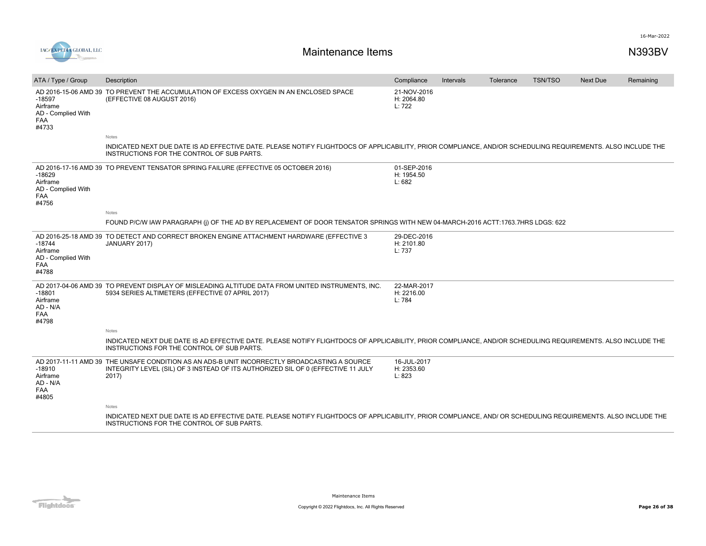

| ATA / Type / Group                                                | Description                                                                                                                                                                                                | Compliance                          | Intervals | Tolerance | <b>TSN/TSO</b> | Next Due | Remaining |
|-------------------------------------------------------------------|------------------------------------------------------------------------------------------------------------------------------------------------------------------------------------------------------------|-------------------------------------|-----------|-----------|----------------|----------|-----------|
| $-18597$<br>Airframe<br>AD - Complied With<br><b>FAA</b><br>#4733 | AD 2016-15-06 AMD 39 TO PREVENT THE ACCUMULATION OF EXCESS OXYGEN IN AN ENCLOSED SPACE<br>(EFFECTIVE 08 AUGUST 2016)                                                                                       | 21-NOV-2016<br>H: 2064.80<br>L: 722 |           |           |                |          |           |
|                                                                   | <b>Notes</b>                                                                                                                                                                                               |                                     |           |           |                |          |           |
|                                                                   | INDICATED NEXT DUE DATE IS AD EFFECTIVE DATE. PLEASE NOTIFY FLIGHTDOCS OF APPLICABILITY, PRIOR COMPLIANCE, AND/OR SCHEDULING REQUIREMENTS. ALSO INCLUDE THE<br>INSTRUCTIONS FOR THE CONTROL OF SUB PARTS.  |                                     |           |           |                |          |           |
| $-18629$<br>Airframe<br>AD - Complied With<br>FAA<br>#4756        | AD 2016-17-16 AMD 39 TO PREVENT TENSATOR SPRING FAILURE (EFFECTIVE 05 OCTOBER 2016)                                                                                                                        | 01-SEP-2016<br>H: 1954.50<br>L: 682 |           |           |                |          |           |
|                                                                   | Notes                                                                                                                                                                                                      |                                     |           |           |                |          |           |
|                                                                   | FOUND P/C/W IAW PARAGRAPH (i) OF THE AD BY REPLACEMENT OF DOOR TENSATOR SPRINGS WITH NEW 04-MARCH-2016 ACTT:1763.7HRS LDGS: 622                                                                            |                                     |           |           |                |          |           |
| $-18744$<br>Airframe<br>AD - Complied With<br><b>FAA</b><br>#4788 | AD 2016-25-18 AMD 39 TO DETECT AND CORRECT BROKEN ENGINE ATTACHMENT HARDWARE (EFFECTIVE 3<br>JANUARY 2017)                                                                                                 | 29-DEC-2016<br>H: 2101.80<br>L: 737 |           |           |                |          |           |
| $-18801$<br>Airframe<br>AD - N/A<br><b>FAA</b><br>#4798           | AD 2017-04-06 AMD 39 TO PREVENT DISPLAY OF MISLEADING ALTITUDE DATA FROM UNITED INSTRUMENTS, INC.<br>5934 SERIES ALTIMETERS (EFFECTIVE 07 APRIL 2017)                                                      | 22-MAR-2017<br>H: 2216.00<br>L: 784 |           |           |                |          |           |
|                                                                   | Notes                                                                                                                                                                                                      |                                     |           |           |                |          |           |
|                                                                   | INDICATED NEXT DUE DATE IS AD EFFECTIVE DATE. PLEASE NOTIFY FLIGHTDOCS OF APPLICABILITY, PRIOR COMPLIANCE, AND/OR SCHEDULING REQUIREMENTS. ALSO INCLUDE THE<br>INSTRUCTIONS FOR THE CONTROL OF SUB PARTS.  |                                     |           |           |                |          |           |
| $-18910$<br>Airframe<br>AD - N/A<br><b>FAA</b><br>#4805           | AD 2017-11-11 AMD 39 THE UNSAFE CONDITION AS AN ADS-B UNIT INCORRECTLY BROADCASTING A SOURCE<br>INTEGRITY LEVEL (SIL) OF 3 INSTEAD OF ITS AUTHORIZED SIL OF 0 (EFFECTIVE 11 JULY<br>2017)                  | 16-JUL-2017<br>H: 2353.60<br>L: 823 |           |           |                |          |           |
|                                                                   | Notes                                                                                                                                                                                                      |                                     |           |           |                |          |           |
|                                                                   | INDICATED NEXT DUE DATE IS AD EFFECTIVE DATE. PLEASE NOTIFY FLIGHTDOCS OF APPLICABILITY, PRIOR COMPLIANCE, AND/ OR SCHEDULING REQUIREMENTS. ALSO INCLUDE THE<br>INSTRUCTIONS FOR THE CONTROL OF SUB PARTS. |                                     |           |           |                |          |           |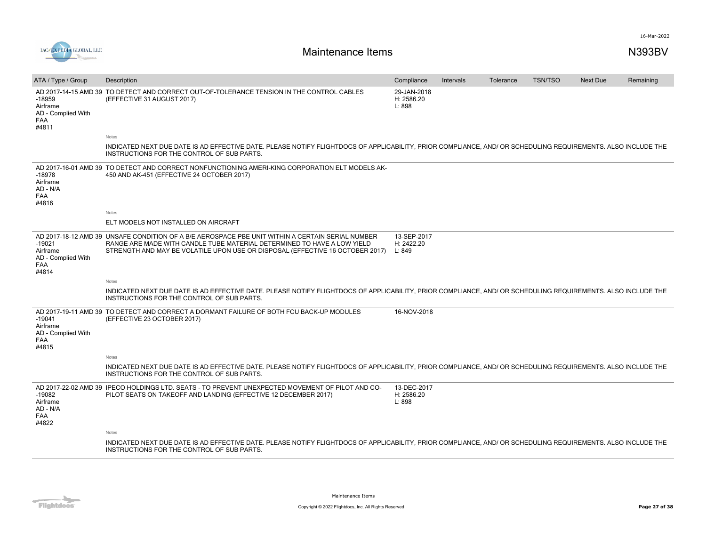

| ATA / Type / Group                                                | Description                                                                                                                                                                                                                                                  | Compliance                          | Intervals | Tolerance | <b>TSN/TSO</b> | <b>Next Due</b> | Remaining |
|-------------------------------------------------------------------|--------------------------------------------------------------------------------------------------------------------------------------------------------------------------------------------------------------------------------------------------------------|-------------------------------------|-----------|-----------|----------------|-----------------|-----------|
| $-18959$<br>Airframe<br>AD - Complied With<br>FAA<br>#4811        | AD 2017-14-15 AMD 39 TO DETECT AND CORRECT OUT-OF-TOLERANCE TENSION IN THE CONTROL CABLES<br>(EFFECTIVE 31 AUGUST 2017)                                                                                                                                      | 29-JAN-2018<br>H: 2586.20<br>L: 898 |           |           |                |                 |           |
|                                                                   | Notes                                                                                                                                                                                                                                                        |                                     |           |           |                |                 |           |
|                                                                   | INDICATED NEXT DUE DATE IS AD EFFECTIVE DATE. PLEASE NOTIFY FLIGHTDOCS OF APPLICABILITY, PRIOR COMPLIANCE, AND/ OR SCHEDULING REQUIREMENTS. ALSO INCLUDE THE<br>INSTRUCTIONS FOR THE CONTROL OF SUB PARTS.                                                   |                                     |           |           |                |                 |           |
| $-18978$<br>Airframe<br>AD - N/A<br><b>FAA</b><br>#4816           | AD 2017-16-01 AMD 39 TO DETECT AND CORRECT NONFUNCTIONING AMERI-KING CORPORATION ELT MODELS AK-<br>450 AND AK-451 (EFFECTIVE 24 OCTOBER 2017)                                                                                                                |                                     |           |           |                |                 |           |
|                                                                   | Notes                                                                                                                                                                                                                                                        |                                     |           |           |                |                 |           |
|                                                                   | ELT MODELS NOT INSTALLED ON AIRCRAFT                                                                                                                                                                                                                         |                                     |           |           |                |                 |           |
| $-19021$<br>Airframe<br>AD - Complied With<br><b>FAA</b><br>#4814 | AD 2017-18-12 AMD 39 UNSAFE CONDITION OF A B/E AEROSPACE PBE UNIT WITHIN A CERTAIN SERIAL NUMBER<br>RANGE ARE MADE WITH CANDLE TUBE MATERIAL DETERMINED TO HAVE A LOW YIELD<br>STRENGTH AND MAY BE VOLATILE UPON USE OR DISPOSAL (EFFECTIVE 16 OCTOBER 2017) | 13-SEP-2017<br>H: 2422.20<br>L: 849 |           |           |                |                 |           |
|                                                                   | Notes                                                                                                                                                                                                                                                        |                                     |           |           |                |                 |           |
|                                                                   | INDICATED NEXT DUE DATE IS AD EFFECTIVE DATE. PLEASE NOTIFY FLIGHTDOCS OF APPLICABILITY. PRIOR COMPLIANCE. AND/ OR SCHEDULING REQUIREMENTS. ALSO INCLUDE THE<br>INSTRUCTIONS FOR THE CONTROL OF SUB PARTS.                                                   |                                     |           |           |                |                 |           |
| $-19041$<br>Airframe<br>AD - Complied With<br><b>FAA</b><br>#4815 | AD 2017-19-11 AMD 39 TO DETECT AND CORRECT A DORMANT FAILURE OF BOTH FCU BACK-UP MODULES<br>(EFFECTIVE 23 OCTOBER 2017)                                                                                                                                      | 16-NOV-2018                         |           |           |                |                 |           |
|                                                                   | Notes                                                                                                                                                                                                                                                        |                                     |           |           |                |                 |           |
|                                                                   | INDICATED NEXT DUE DATE IS AD EFFECTIVE DATE. PLEASE NOTIFY FLIGHTDOCS OF APPLICABILITY, PRIOR COMPLIANCE, AND/ OR SCHEDULING REQUIREMENTS. ALSO INCLUDE THE<br>INSTRUCTIONS FOR THE CONTROL OF SUB PARTS.                                                   |                                     |           |           |                |                 |           |
| $-19082$<br>Airframe<br>AD - N/A<br>FAA<br>#4822                  | AD 2017-22-02 AMD 39 IPECO HOLDINGS LTD. SEATS - TO PREVENT UNEXPECTED MOVEMENT OF PILOT AND CO-<br>PILOT SEATS ON TAKEOFF AND LANDING (EFFECTIVE 12 DECEMBER 2017)                                                                                          | 13-DEC-2017<br>H: 2586.20<br>L: 898 |           |           |                |                 |           |
|                                                                   | Notes                                                                                                                                                                                                                                                        |                                     |           |           |                |                 |           |
|                                                                   | INDICATED NEXT DUE DATE IS AD EFFECTIVE DATE. PLEASE NOTIFY FLIGHTDOCS OF APPLICABILITY, PRIOR COMPLIANCE, AND/ OR SCHEDULING REQUIREMENTS. ALSO INCLUDE THE<br>INSTRUCTIONS FOR THE CONTROL OF SUB PARTS.                                                   |                                     |           |           |                |                 |           |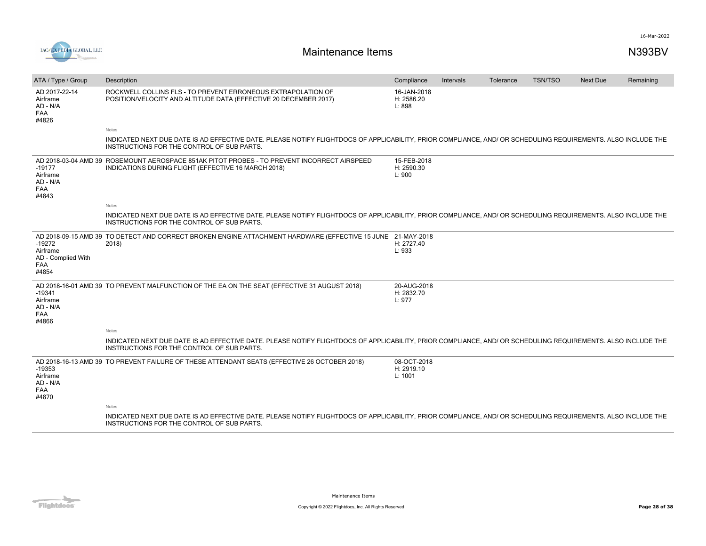

| ATA / Type / Group                                         | Description                                                                                                                                                                                                | Compliance                           | Intervals | Tolerance | <b>TSN/TSO</b> | <b>Next Due</b> | Remaining |
|------------------------------------------------------------|------------------------------------------------------------------------------------------------------------------------------------------------------------------------------------------------------------|--------------------------------------|-----------|-----------|----------------|-----------------|-----------|
| AD 2017-22-14<br>Airframe<br>AD - N/A<br>FAA<br>#4826      | ROCKWELL COLLINS FLS - TO PREVENT ERRONEOUS EXTRAPOLATION OF<br>POSITION/VELOCITY AND ALTITUDE DATA (EFFECTIVE 20 DECEMBER 2017)                                                                           | 16-JAN-2018<br>H: 2586.20<br>L: 898  |           |           |                |                 |           |
|                                                            | Notes                                                                                                                                                                                                      |                                      |           |           |                |                 |           |
|                                                            | INDICATED NEXT DUE DATE IS AD EFFECTIVE DATE. PLEASE NOTIFY FLIGHTDOCS OF APPLICABILITY, PRIOR COMPLIANCE, AND/ OR SCHEDULING REQUIREMENTS. ALSO INCLUDE THE<br>INSTRUCTIONS FOR THE CONTROL OF SUB PARTS. |                                      |           |           |                |                 |           |
| $-19177$<br>Airframe<br>AD - N/A<br>FAA<br>#4843           | AD 2018-03-04 AMD 39 ROSEMOUNT AEROSPACE 851AK PITOT PROBES - TO PREVENT INCORRECT AIRSPEED<br>INDICATIONS DURING FLIGHT (EFFECTIVE 16 MARCH 2018)                                                         | 15-FEB-2018<br>H: 2590.30<br>L: 900  |           |           |                |                 |           |
|                                                            | Notes                                                                                                                                                                                                      |                                      |           |           |                |                 |           |
|                                                            | INDICATED NEXT DUE DATE IS AD EFFECTIVE DATE. PLEASE NOTIFY FLIGHTDOCS OF APPLICABILITY, PRIOR COMPLIANCE, AND/ OR SCHEDULING REQUIREMENTS. ALSO INCLUDE THE<br>INSTRUCTIONS FOR THE CONTROL OF SUB PARTS. |                                      |           |           |                |                 |           |
| $-19272$<br>Airframe<br>AD - Complied With<br>FAA<br>#4854 | AD 2018-09-15 AMD 39 TO DETECT AND CORRECT BROKEN ENGINE ATTACHMENT HARDWARE (EFFECTIVE 15 JUNE 21-MAY-2018<br>2018)                                                                                       | H: 2727.40<br>L: 933                 |           |           |                |                 |           |
| $-19341$<br>Airframe<br>AD - N/A<br>FAA<br>#4866           | AD 2018-16-01 AMD 39 TO PREVENT MALFUNCTION OF THE EA ON THE SEAT (EFFECTIVE 31 AUGUST 2018)                                                                                                               | 20-AUG-2018<br>H: 2832.70<br>L: 977  |           |           |                |                 |           |
|                                                            | Notes                                                                                                                                                                                                      |                                      |           |           |                |                 |           |
|                                                            | INDICATED NEXT DUE DATE IS AD EFFECTIVE DATE. PLEASE NOTIFY FLIGHTDOCS OF APPLICABILITY, PRIOR COMPLIANCE, AND/ OR SCHEDULING REQUIREMENTS. ALSO INCLUDE THE<br>INSTRUCTIONS FOR THE CONTROL OF SUB PARTS. |                                      |           |           |                |                 |           |
| $-19353$<br>Airframe<br>AD - N/A<br>FAA<br>#4870           | AD 2018-16-13 AMD 39 TO PREVENT FAILURE OF THESE ATTENDANT SEATS (EFFECTIVE 26 OCTOBER 2018)                                                                                                               | 08-OCT-2018<br>H: 2919.10<br>L: 1001 |           |           |                |                 |           |
|                                                            | Notes                                                                                                                                                                                                      |                                      |           |           |                |                 |           |
|                                                            | INDICATED NEXT DUE DATE IS AD EFFECTIVE DATE. PLEASE NOTIFY FLIGHTDOCS OF APPLICABILITY. PRIOR COMPLIANCE. AND/ OR SCHEDULING REQUIREMENTS. ALSO INCLUDE THE<br>INSTRUCTIONS FOR THE CONTROL OF SUB PARTS. |                                      |           |           |                |                 |           |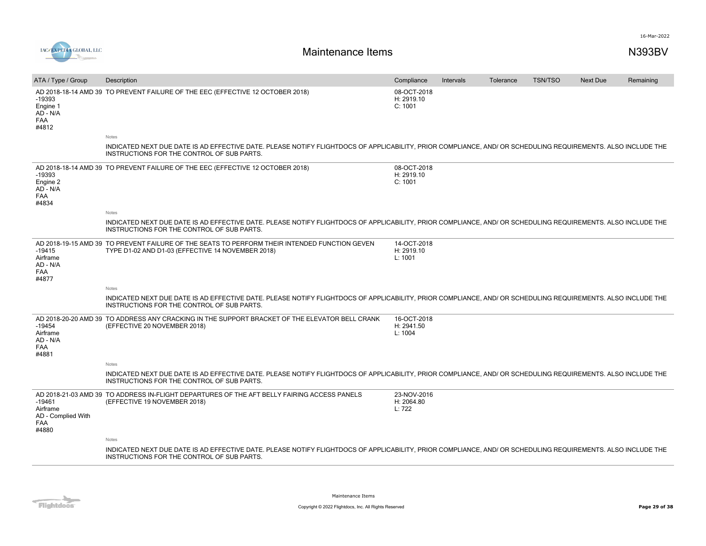

| ATA / Type / Group                                                | Description                                                                                                                                                                                                | Compliance                           | Intervals | Tolerance | <b>TSN/TSO</b> | <b>Next Due</b> | Remaining |
|-------------------------------------------------------------------|------------------------------------------------------------------------------------------------------------------------------------------------------------------------------------------------------------|--------------------------------------|-----------|-----------|----------------|-----------------|-----------|
| -19393<br>Engine 1<br>AD - N/A<br><b>FAA</b><br>#4812             | AD 2018-18-14 AMD 39 TO PREVENT FAILURE OF THE EEC (EFFECTIVE 12 OCTOBER 2018)                                                                                                                             | 08-OCT-2018<br>H: 2919.10<br>C: 1001 |           |           |                |                 |           |
|                                                                   | Notes                                                                                                                                                                                                      |                                      |           |           |                |                 |           |
|                                                                   | INDICATED NEXT DUE DATE IS AD EFFECTIVE DATE. PLEASE NOTIFY FLIGHTDOCS OF APPLICABILITY, PRIOR COMPLIANCE, AND/ OR SCHEDULING REQUIREMENTS. ALSO INCLUDE THE<br>INSTRUCTIONS FOR THE CONTROL OF SUB PARTS. |                                      |           |           |                |                 |           |
| $-19393$<br>Engine 2<br>AD - N/A<br><b>FAA</b><br>#4834           | AD 2018-18-14 AMD 39 TO PREVENT FAILURE OF THE EEC (EFFECTIVE 12 OCTOBER 2018)                                                                                                                             | 08-OCT-2018<br>H: 2919.10<br>C: 1001 |           |           |                |                 |           |
|                                                                   | Notes                                                                                                                                                                                                      |                                      |           |           |                |                 |           |
|                                                                   | INDICATED NEXT DUE DATE IS AD EFFECTIVE DATE. PLEASE NOTIFY FLIGHTDOCS OF APPLICABILITY, PRIOR COMPLIANCE, AND/ OR SCHEDULING REQUIREMENTS. ALSO INCLUDE THE<br>INSTRUCTIONS FOR THE CONTROL OF SUB PARTS. |                                      |           |           |                |                 |           |
| $-19415$<br>Airframe<br>AD - N/A<br><b>FAA</b><br>#4877           | AD 2018-19-15 AMD 39 TO PREVENT FAILURE OF THE SEATS TO PERFORM THEIR INTENDED FUNCTION GEVEN<br>TYPE D1-02 AND D1-03 (EFFECTIVE 14 NOVEMBER 2018)                                                         | 14-OCT-2018<br>H: 2919.10<br>L: 1001 |           |           |                |                 |           |
|                                                                   | Notes                                                                                                                                                                                                      |                                      |           |           |                |                 |           |
|                                                                   | INDICATED NEXT DUE DATE IS AD EFFECTIVE DATE. PLEASE NOTIFY FLIGHTDOCS OF APPLICABILITY, PRIOR COMPLIANCE, AND/ OR SCHEDULING REQUIREMENTS. ALSO INCLUDE THE<br>INSTRUCTIONS FOR THE CONTROL OF SUB PARTS. |                                      |           |           |                |                 |           |
| $-19454$<br>Airframe<br>AD - N/A<br><b>FAA</b><br>#4881           | AD 2018-20-20 AMD 39 TO ADDRESS ANY CRACKING IN THE SUPPORT BRACKET OF THE ELEVATOR BELL CRANK<br>(EFFECTIVE 20 NOVEMBER 2018)                                                                             | 16-OCT-2018<br>H: 2941.50<br>L: 1004 |           |           |                |                 |           |
|                                                                   | Notes                                                                                                                                                                                                      |                                      |           |           |                |                 |           |
|                                                                   | INDICATED NEXT DUE DATE IS AD EFFECTIVE DATE. PLEASE NOTIFY FLIGHTDOCS OF APPLICABILITY, PRIOR COMPLIANCE, AND/ OR SCHEDULING REQUIREMENTS. ALSO INCLUDE THE<br>INSTRUCTIONS FOR THE CONTROL OF SUB PARTS. |                                      |           |           |                |                 |           |
| $-19461$<br>Airframe<br>AD - Complied With<br><b>FAA</b><br>#4880 | AD 2018-21-03 AMD 39 TO ADDRESS IN-FLIGHT DEPARTURES OF THE AFT BELLY FAIRING ACCESS PANELS<br>(EFFECTIVE 19 NOVEMBER 2018)                                                                                | 23-NOV-2016<br>H: 2064.80<br>L: 722  |           |           |                |                 |           |
|                                                                   | Notes                                                                                                                                                                                                      |                                      |           |           |                |                 |           |
|                                                                   | INDICATED NEXT DUE DATE IS AD EFFECTIVE DATE. PLEASE NOTIFY FLIGHTDOCS OF APPLICABILITY, PRIOR COMPLIANCE, AND/ OR SCHEDULING REQUIREMENTS. ALSO INCLUDE THE<br>INSTRUCTIONS FOR THE CONTROL OF SUB PARTS. |                                      |           |           |                |                 |           |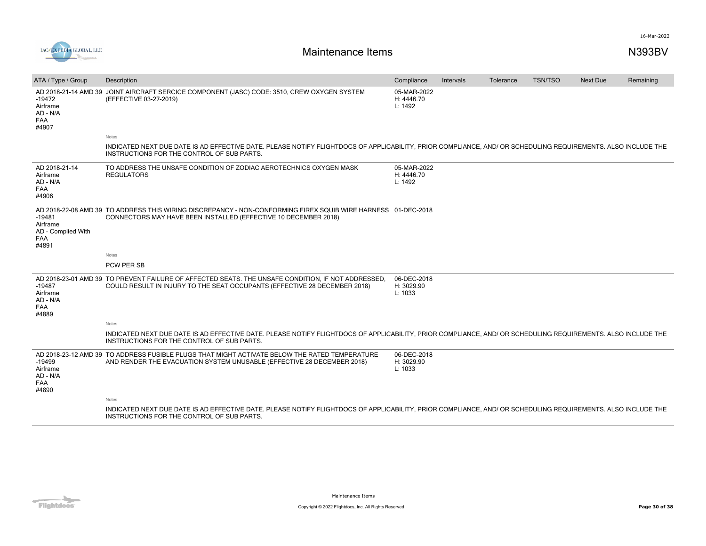

| ATA / Type / Group                                                | Description                                                                                                                                                                                                | Compliance                           | Intervals | Tolerance | <b>TSN/TSO</b> | Next Due | Remaining |
|-------------------------------------------------------------------|------------------------------------------------------------------------------------------------------------------------------------------------------------------------------------------------------------|--------------------------------------|-----------|-----------|----------------|----------|-----------|
| $-19472$<br>Airframe<br>AD - N/A<br><b>FAA</b><br>#4907           | AD 2018-21-14 AMD 39 JOINT AIRCRAFT SERCICE COMPONENT (JASC) CODE: 3510, CREW OXYGEN SYSTEM<br>(EFFECTIVE 03-27-2019)                                                                                      | 05-MAR-2022<br>H: 4446.70<br>L: 1492 |           |           |                |          |           |
|                                                                   | Notes                                                                                                                                                                                                      |                                      |           |           |                |          |           |
|                                                                   | INDICATED NEXT DUE DATE IS AD EFFECTIVE DATE. PLEASE NOTIFY FLIGHTDOCS OF APPLICABILITY, PRIOR COMPLIANCE, AND/ OR SCHEDULING REQUIREMENTS. ALSO INCLUDE THE<br>INSTRUCTIONS FOR THE CONTROL OF SUB PARTS. |                                      |           |           |                |          |           |
| AD 2018-21-14<br>Airframe<br>AD - N/A<br>FAA<br>#4906             | TO ADDRESS THE UNSAFE CONDITION OF ZODIAC AEROTECHNICS OXYGEN MASK<br><b>REGULATORS</b>                                                                                                                    | 05-MAR-2022<br>H: 4446.70<br>L: 1492 |           |           |                |          |           |
| $-19481$<br>Airframe<br>AD - Complied With<br><b>FAA</b><br>#4891 | AD 2018-22-08 AMD 39 TO ADDRESS THIS WIRING DISCREPANCY - NON-CONFORMING FIREX SQUIB WIRE HARNESS 01-DEC-2018<br>CONNECTORS MAY HAVE BEEN INSTALLED (EFFECTIVE 10 DECEMBER 2018)                           |                                      |           |           |                |          |           |
|                                                                   | Notes                                                                                                                                                                                                      |                                      |           |           |                |          |           |
|                                                                   | <b>PCW PER SB</b>                                                                                                                                                                                          |                                      |           |           |                |          |           |
| $-19487$<br>Airframe<br>AD - N/A<br><b>FAA</b><br>#4889           | AD 2018-23-01 AMD 39 TO PREVENT FAILURE OF AFFECTED SEATS. THE UNSAFE CONDITION, IF NOT ADDRESSED,<br>COULD RESULT IN INJURY TO THE SEAT OCCUPANTS (EFFECTIVE 28 DECEMBER 2018)                            | 06-DEC-2018<br>H: 3029.90<br>L: 1033 |           |           |                |          |           |
|                                                                   | <b>Notes</b>                                                                                                                                                                                               |                                      |           |           |                |          |           |
|                                                                   | INDICATED NEXT DUE DATE IS AD EFFECTIVE DATE. PLEASE NOTIFY FLIGHTDOCS OF APPLICABILITY, PRIOR COMPLIANCE, AND/ OR SCHEDULING REQUIREMENTS. ALSO INCLUDE THE<br>INSTRUCTIONS FOR THE CONTROL OF SUB PARTS. |                                      |           |           |                |          |           |
| $-19499$<br>Airframe<br>AD - N/A<br><b>FAA</b><br>#4890           | AD 2018-23-12 AMD 39 TO ADDRESS FUSIBLE PLUGS THAT MIGHT ACTIVATE BELOW THE RATED TEMPERATURE<br>AND RENDER THE EVACUATION SYSTEM UNUSABLE (EFFECTIVE 28 DECEMBER 2018)                                    | 06-DEC-2018<br>H: 3029.90<br>L: 1033 |           |           |                |          |           |
|                                                                   | Notes                                                                                                                                                                                                      |                                      |           |           |                |          |           |
|                                                                   | INDICATED NEXT DUE DATE IS AD EFFECTIVE DATE. PLEASE NOTIFY FLIGHTDOCS OF APPLICABILITY, PRIOR COMPLIANCE, AND/ OR SCHEDULING REQUIREMENTS. ALSO INCLUDE THE<br>INSTRUCTIONS FOR THE CONTROL OF SUB PARTS. |                                      |           |           |                |          |           |
|                                                                   |                                                                                                                                                                                                            |                                      |           |           |                |          |           |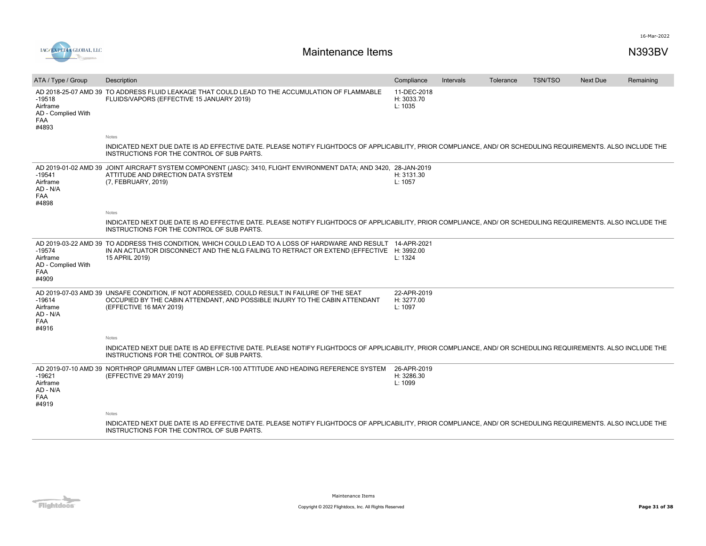

| ATA / Type / Group                                                | Description                                                                                                                                                                                                     | Compliance                           | Intervals | Tolerance | <b>TSN/TSO</b> | <b>Next Due</b> | Remaining |
|-------------------------------------------------------------------|-----------------------------------------------------------------------------------------------------------------------------------------------------------------------------------------------------------------|--------------------------------------|-----------|-----------|----------------|-----------------|-----------|
| $-19518$<br>Airframe<br>AD - Complied With<br><b>FAA</b><br>#4893 | AD 2018-25-07 AMD 39 TO ADDRESS FLUID LEAKAGE THAT COULD LEAD TO THE ACCUMULATION OF FLAMMABLE<br>FLUIDS/VAPORS (EFFECTIVE 15 JANUARY 2019)                                                                     | 11-DEC-2018<br>H: 3033.70<br>L: 1035 |           |           |                |                 |           |
|                                                                   | Notes                                                                                                                                                                                                           |                                      |           |           |                |                 |           |
|                                                                   | INDICATED NEXT DUE DATE IS AD EFFECTIVE DATE. PLEASE NOTIFY FLIGHTDOCS OF APPLICABILITY, PRIOR COMPLIANCE, AND/ OR SCHEDULING REQUIREMENTS. ALSO INCLUDE THE<br>INSTRUCTIONS FOR THE CONTROL OF SUB PARTS.      |                                      |           |           |                |                 |           |
| $-19541$<br>Airframe<br>AD - N/A<br><b>FAA</b><br>#4898           | AD 2019-01-02 AMD 39 JOINT AIRCRAFT SYSTEM COMPONENT (JASC): 3410, FLIGHT ENVIRONMENT DATA; AND 3420, 28-JAN-2019<br>ATTITUDE AND DIRECTION DATA SYSTEM<br>(7, FEBRUARY, 2019)                                  | H: 3131.30<br>L: 1057                |           |           |                |                 |           |
|                                                                   | Notes                                                                                                                                                                                                           |                                      |           |           |                |                 |           |
|                                                                   | INDICATED NEXT DUE DATE IS AD EFFECTIVE DATE. PLEASE NOTIFY FLIGHTDOCS OF APPLICABILITY, PRIOR COMPLIANCE, AND/ OR SCHEDULING REQUIREMENTS. ALSO INCLUDE THE<br>INSTRUCTIONS FOR THE CONTROL OF SUB PARTS.      |                                      |           |           |                |                 |           |
| $-19574$<br>Airframe<br>AD - Complied With<br><b>FAA</b><br>#4909 | AD 2019-03-22 AMD 39 TO ADDRESS THIS CONDITION, WHICH COULD LEAD TO A LOSS OF HARDWARE AND RESULT<br>IN AN ACTUATOR DISCONNECT AND THE NLG FAILING TO RETRACT OR EXTEND (EFFECTIVE H: 3992.00<br>15 APRIL 2019) | 14-APR-2021<br>L: 1324               |           |           |                |                 |           |
| $-19614$<br>Airframe<br>AD - N/A<br><b>FAA</b><br>#4916           | AD 2019-07-03 AMD 39 UNSAFE CONDITION, IF NOT ADDRESSED, COULD RESULT IN FAILURE OF THE SEAT<br>OCCUPIED BY THE CABIN ATTENDANT. AND POSSIBLE INJURY TO THE CABIN ATTENDANT<br>(EFFECTIVE 16 MAY 2019)          | 22-APR-2019<br>H: 3277.00<br>L: 1097 |           |           |                |                 |           |
|                                                                   | Notes                                                                                                                                                                                                           |                                      |           |           |                |                 |           |
|                                                                   | INDICATED NEXT DUE DATE IS AD EFFECTIVE DATE. PLEASE NOTIFY FLIGHTDOCS OF APPLICABILITY, PRIOR COMPLIANCE, AND/ OR SCHEDULING REQUIREMENTS. ALSO INCLUDE THE<br>INSTRUCTIONS FOR THE CONTROL OF SUB PARTS.      |                                      |           |           |                |                 |           |
| $-19621$<br>Airframe<br>AD - N/A<br><b>FAA</b><br>#4919           | AD 2019-07-10 AMD 39 NORTHROP GRUMMAN LITEF GMBH LCR-100 ATTITUDE AND HEADING REFERENCE SYSTEM<br>(EFFECTIVE 29 MAY 2019)                                                                                       | 26-APR-2019<br>H: 3286.30<br>L: 1099 |           |           |                |                 |           |
|                                                                   | Notes                                                                                                                                                                                                           |                                      |           |           |                |                 |           |
|                                                                   | INDICATED NEXT DUE DATE IS AD EFFECTIVE DATE. PLEASE NOTIFY FLIGHTDOCS OF APPLICABILITY, PRIOR COMPLIANCE, AND/ OR SCHEDULING REQUIREMENTS. ALSO INCLUDE THE<br>INSTRUCTIONS FOR THE CONTROL OF SUB PARTS.      |                                      |           |           |                |                 |           |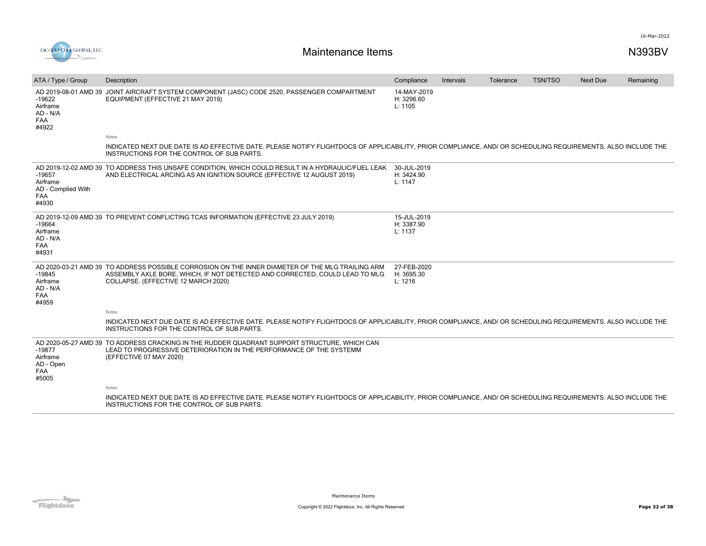

| ATA / Type / Group                                         | Description                                                                                                                                                                                                            | Compliance                           | <b>Intervals</b> | Tolerance | <b>TSN/TSO</b> | <b>Next Due</b> | Remaining |
|------------------------------------------------------------|------------------------------------------------------------------------------------------------------------------------------------------------------------------------------------------------------------------------|--------------------------------------|------------------|-----------|----------------|-----------------|-----------|
| $-19622$<br>Airframe<br>AD - N/A<br>FAA<br>#4922           | AD 2019-08-01 AMD 39 JOINT AIRCRAFT SYSTEM COMPONENT (JASC) CODE 2520, PASSENGER COMPARTMENT<br>EQUIPMENT (EFFECTIVE 21 MAY 2019)                                                                                      | 14-MAY-2019<br>H: 3296.60<br>L: 1105 |                  |           |                |                 |           |
|                                                            | Notes                                                                                                                                                                                                                  |                                      |                  |           |                |                 |           |
|                                                            | INDICATED NEXT DUE DATE IS AD EFFECTIVE DATE. PLEASE NOTIFY FLIGHTDOCS OF APPLICABILITY, PRIOR COMPLIANCE, AND/ OR SCHEDULING REQUIREMENTS. ALSO INCLUDE THE<br>INSTRUCTIONS FOR THE CONTROL OF SUB PARTS.             |                                      |                  |           |                |                 |           |
| $-19657$<br>Airframe<br>AD - Complied With<br>FAA<br>#4930 | AD 2019-12-02 AMD 39 TO ADDRESS THIS UNSAFE CONDITION, WHICH COULD RESULT IN A HYDRAULIC/FUEL LEAK 30-JUL-2019<br>AND ELECTRICAL ARCING AS AN IGNITION SOURCE (EFFECTIVE 12 AUGUST 2019)                               | H: 3424.90<br>L: 1147                |                  |           |                |                 |           |
| $-19664$<br>Airframe<br>AD - N/A<br><b>FAA</b><br>#4931    | AD 2019-12-09 AMD 39 TO PREVENT CONFLICTING TCAS INFORMATION (EFFECTIVE 23 JULY 2019)                                                                                                                                  | 15-JUL-2019<br>H: 3387.90<br>L: 1137 |                  |           |                |                 |           |
| $-19845$<br>Airframe<br>AD - N/A<br>FAA<br>#4959           | AD 2020-03-21 AMD 39 TO ADDRESS POSSIBLE CORROSION ON THE INNER DIAMETER OF THE MLG TRAILING ARM<br>ASSEMBLY AXLE BORE, WHICH, IF NOT DETECTED AND CORRECTED, COULD LEAD TO MLG<br>COLLAPSE. (EFFECTIVE 12 MARCH 2020) | 27-FEB-2020<br>H: 3695.30<br>L: 1216 |                  |           |                |                 |           |
|                                                            | Notes                                                                                                                                                                                                                  |                                      |                  |           |                |                 |           |
|                                                            | INDICATED NEXT DUE DATE IS AD EFFECTIVE DATE. PLEASE NOTIFY FLIGHTDOCS OF APPLICABILITY, PRIOR COMPLIANCE, AND/ OR SCHEDULING REQUIREMENTS. ALSO INCLUDE THE<br>INSTRUCTIONS FOR THE CONTROL OF SUB PARTS.             |                                      |                  |           |                |                 |           |
| $-19877$<br>Airframe<br>AD - Open<br>FAA<br>#5005          | AD 2020-05-27 AMD 39 TO ADDRESS CRACKING IN THE RUDDER QUADRANT SUPPORT STRUCTURE. WHICH CAN<br>LEAD TO PROGRESSIVE DETERIORATION IN THE PERFORMANCE OF THE SYSTEMM<br>(EFFECTIVE 07 MAY 2020)                         |                                      |                  |           |                |                 |           |
|                                                            | Notes                                                                                                                                                                                                                  |                                      |                  |           |                |                 |           |
|                                                            | INDICATED NEXT DUE DATE IS AD EFFECTIVE DATE. PLEASE NOTIFY FLIGHTDOCS OF APPLICABILITY. PRIOR COMPLIANCE. AND/ OR SCHEDULING REQUIREMENTS. ALSO INCLUDE THE<br>INSTRUCTIONS FOR THE CONTROL OF SUB PARTS.             |                                      |                  |           |                |                 |           |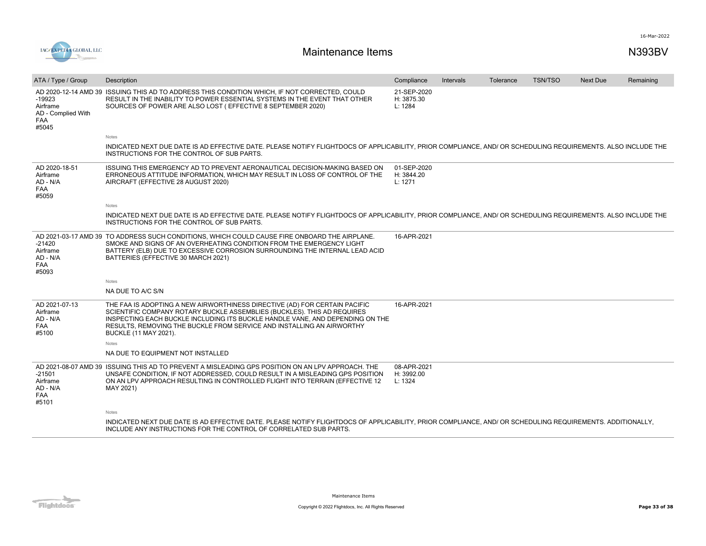

| ATA / Type / Group                                                | Description                                                                                                                                                                                                                                                                                                                                     | Compliance                           | <b>Intervals</b> | Tolerance | <b>TSN/TSO</b> | <b>Next Due</b> | Remaining |
|-------------------------------------------------------------------|-------------------------------------------------------------------------------------------------------------------------------------------------------------------------------------------------------------------------------------------------------------------------------------------------------------------------------------------------|--------------------------------------|------------------|-----------|----------------|-----------------|-----------|
| $-19923$<br>Airframe<br>AD - Complied With<br><b>FAA</b><br>#5045 | AD 2020-12-14 AMD 39 ISSUING THIS AD TO ADDRESS THIS CONDITION WHICH, IF NOT CORRECTED, COULD<br>RESULT IN THE INABILITY TO POWER ESSENTIAL SYSTEMS IN THE EVENT THAT OTHER<br>SOURCES OF POWER ARE ALSO LOST ( EFFECTIVE 8 SEPTEMBER 2020)                                                                                                     | 21-SEP-2020<br>H: 3875.30<br>L: 1284 |                  |           |                |                 |           |
|                                                                   | Notes                                                                                                                                                                                                                                                                                                                                           |                                      |                  |           |                |                 |           |
|                                                                   | INDICATED NEXT DUE DATE IS AD EFFECTIVE DATE. PLEASE NOTIFY FLIGHTDOCS OF APPLICABILITY, PRIOR COMPLIANCE, AND/ OR SCHEDULING REQUIREMENTS. ALSO INCLUDE THE<br>INSTRUCTIONS FOR THE CONTROL OF SUB PARTS.                                                                                                                                      |                                      |                  |           |                |                 |           |
| AD 2020-18-51<br>Airframe<br>AD - N/A<br><b>FAA</b><br>#5059      | ISSUING THIS EMERGENCY AD TO PREVENT AERONAUTICAL DECISION-MAKING BASED ON<br>ERRONEOUS ATTITUDE INFORMATION, WHICH MAY RESULT IN LOSS OF CONTROL OF THE<br>AIRCRAFT (EFFECTIVE 28 AUGUST 2020)                                                                                                                                                 | 01-SEP-2020<br>H: 3844.20<br>L: 1271 |                  |           |                |                 |           |
|                                                                   | Notes                                                                                                                                                                                                                                                                                                                                           |                                      |                  |           |                |                 |           |
|                                                                   | INDICATED NEXT DUE DATE IS AD EFFECTIVE DATE. PLEASE NOTIFY FLIGHTDOCS OF APPLICABILITY, PRIOR COMPLIANCE, AND/ OR SCHEDULING REQUIREMENTS. ALSO INCLUDE THE<br>INSTRUCTIONS FOR THE CONTROL OF SUB PARTS.                                                                                                                                      |                                      |                  |           |                |                 |           |
| $-21420$<br>Airframe<br>AD - N/A<br>FAA<br>#5093                  | AD 2021-03-17 AMD 39 TO ADDRESS SUCH CONDITIONS, WHICH COULD CAUSE FIRE ONBOARD THE AIRPLANE.<br>SMOKE AND SIGNS OF AN OVERHEATING CONDITION FROM THE EMERGENCY LIGHT<br>BATTERY (ELB) DUE TO EXCESSIVE CORROSION SURROUNDING THE INTERNAL LEAD ACID<br>BATTERIES (EFFECTIVE 30 MARCH 2021)                                                     | 16-APR-2021                          |                  |           |                |                 |           |
|                                                                   | Notes                                                                                                                                                                                                                                                                                                                                           |                                      |                  |           |                |                 |           |
|                                                                   | NA DUE TO A/C S/N                                                                                                                                                                                                                                                                                                                               |                                      |                  |           |                |                 |           |
| AD 2021-07-13<br>Airframe<br>AD - N/A<br><b>FAA</b><br>#5100      | THE FAA IS ADOPTING A NEW AIRWORTHINESS DIRECTIVE (AD) FOR CERTAIN PACIFIC<br>SCIENTIFIC COMPANY ROTARY BUCKLE ASSEMBLIES (BUCKLES). THIS AD REQUIRES<br>INSPECTING EACH BUCKLE INCLUDING ITS BUCKLE HANDLE VANE, AND DEPENDING ON THE<br>RESULTS. REMOVING THE BUCKLE FROM SERVICE AND INSTALLING AN AIRWORTHY<br><b>BUCKLE (11 MAY 2021).</b> | 16-APR-2021                          |                  |           |                |                 |           |
|                                                                   | Notes                                                                                                                                                                                                                                                                                                                                           |                                      |                  |           |                |                 |           |
|                                                                   | NA DUE TO EQUIPMENT NOT INSTALLED                                                                                                                                                                                                                                                                                                               |                                      |                  |           |                |                 |           |
| $-21501$<br>Airframe<br>AD - N/A<br>FAA<br>#5101                  | AD 2021-08-07 AMD 39 ISSUING THIS AD TO PREVENT A MISLEADING GPS POSITION ON AN LPV APPROACH. THE<br>UNSAFE CONDITION. IF NOT ADDRESSED, COULD RESULT IN A MISLEADING GPS POSITION<br>ON AN LPV APPROACH RESULTING IN CONTROLLED FLIGHT INTO TERRAIN (EFFECTIVE 12<br>MAY 2021)                                                                 | 08-APR-2021<br>H: 3992.00<br>L: 1324 |                  |           |                |                 |           |
|                                                                   | Notes                                                                                                                                                                                                                                                                                                                                           |                                      |                  |           |                |                 |           |
|                                                                   | INDICATED NEXT DUE DATE IS AD EFFECTIVE DATE. PLEASE NOTIFY FLIGHTDOCS OF APPLICABILITY, PRIOR COMPLIANCE, AND/ OR SCHEDULING REQUIREMENTS. ADDITIONALLY,<br>INCLUDE ANY INSTRUCTIONS FOR THE CONTROL OF CORRELATED SUB PARTS.                                                                                                                  |                                      |                  |           |                |                 |           |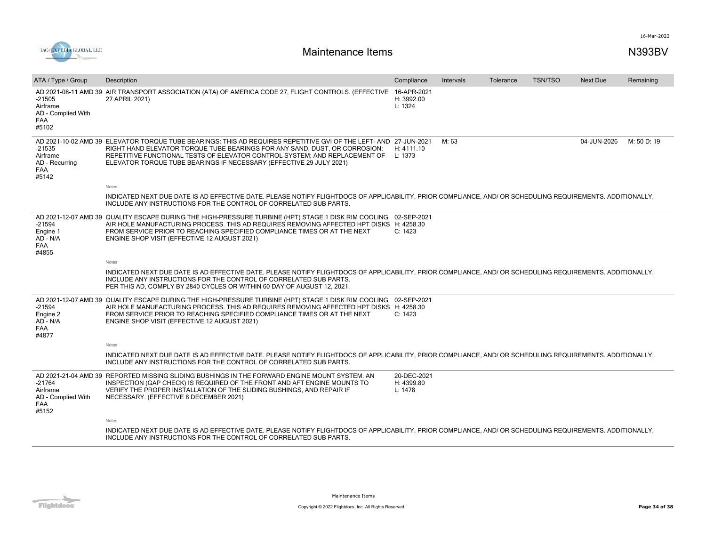

| ATA / Type / Group                                                | Description                                                                                                                                                                                                                                                                                                                                         | Compliance                           | Intervals | Tolerance | <b>TSN/TSO</b> | <b>Next Due</b> | Remaining   |
|-------------------------------------------------------------------|-----------------------------------------------------------------------------------------------------------------------------------------------------------------------------------------------------------------------------------------------------------------------------------------------------------------------------------------------------|--------------------------------------|-----------|-----------|----------------|-----------------|-------------|
| $-21505$<br>Airframe<br>AD - Complied With<br><b>FAA</b><br>#5102 | AD 2021-08-11 AMD 39 AIR TRANSPORT ASSOCIATION (ATA) OF AMERICA CODE 27, FLIGHT CONTROLS. (EFFECTIVE<br>27 APRIL 2021)                                                                                                                                                                                                                              | 16-APR-2021<br>H: 3992.00<br>L: 1324 |           |           |                |                 |             |
| $-21535$<br>Airframe<br>AD - Recurring<br><b>FAA</b><br>#5142     | AD 2021-10-02 AMD 39 ELEVATOR TORQUE TUBE BEARINGS: THIS AD REQUIRES REPETITIVE GVI OF THE LEFT- AND 27-JUN-2021<br>RIGHT HAND ELEVATOR TORQUE TUBE BEARINGS FOR ANY SAND, DUST, OR CORROSION;<br>REPETITIVE FUNCTIONAL TESTS OF ELEVATOR CONTROL SYSTEM; AND REPLACEMENT OF<br>ELEVATOR TORQUE TUBE BEARINGS IF NECESSARY (EFFECTIVE 29 JULY 2021) | H: 4111.10<br>L: 1373                | M: 63     |           |                | 04-JUN-2026     | M: 50 D: 19 |
|                                                                   | Notes                                                                                                                                                                                                                                                                                                                                               |                                      |           |           |                |                 |             |
|                                                                   | INDICATED NEXT DUE DATE IS AD EFFECTIVE DATE. PLEASE NOTIFY FLIGHTDOCS OF APPLICABILITY, PRIOR COMPLIANCE, AND/ OR SCHEDULING REQUIREMENTS. ADDITIONALLY,<br>INCLUDE ANY INSTRUCTIONS FOR THE CONTROL OF CORRELATED SUB PARTS.                                                                                                                      |                                      |           |           |                |                 |             |
| $-21594$<br>Engine 1<br>AD - N/A<br><b>FAA</b><br>#4855           | AD 2021-12-07 AMD 39 QUALITY ESCAPE DURING THE HIGH-PRESSURE TURBINE (HPT) STAGE 1 DISK RIM COOLING 02-SEP-2021<br>AIR HOLE MANUFACTURING PROCESS. THIS AD REQUIRES REMOVING AFFECTED HPT DISKS H: 4258.30<br>FROM SERVICE PRIOR TO REACHING SPECIFIED COMPLIANCE TIMES OR AT THE NEXT<br>ENGINE SHOP VISIT (EFFECTIVE 12 AUGUST 2021)              | C: 1423                              |           |           |                |                 |             |
|                                                                   | Notes                                                                                                                                                                                                                                                                                                                                               |                                      |           |           |                |                 |             |
|                                                                   | INDICATED NEXT DUE DATE IS AD EFFECTIVE DATE. PLEASE NOTIFY FLIGHTDOCS OF APPLICABILITY, PRIOR COMPLIANCE, AND/ OR SCHEDULING REQUIREMENTS. ADDITIONALLY,<br>INCLUDE ANY INSTRUCTIONS FOR THE CONTROL OF CORRELATED SUB PARTS.<br>PER THIS AD, COMPLY BY 2840 CYCLES OR WITHIN 60 DAY OF AUGUST 12, 2021.                                           |                                      |           |           |                |                 |             |
| $-21594$<br>Engine 2<br>AD - N/A<br><b>FAA</b><br>#4877           | AD 2021-12-07 AMD 39 QUALITY ESCAPE DURING THE HIGH-PRESSURE TURBINE (HPT) STAGE 1 DISK RIM COOLING 02-SEP-2021<br>AIR HOLE MANUFACTURING PROCESS. THIS AD REQUIRES REMOVING AFFECTED HPT DISKS H: 4258.30<br>FROM SERVICE PRIOR TO REACHING SPECIFIED COMPLIANCE TIMES OR AT THE NEXT<br>ENGINE SHOP VISIT (EFFECTIVE 12 AUGUST 2021)<br>Notes     | C: 1423                              |           |           |                |                 |             |
|                                                                   | INDICATED NEXT DUE DATE IS AD EFFECTIVE DATE. PLEASE NOTIFY FLIGHTDOCS OF APPLICABILITY, PRIOR COMPLIANCE, AND/ OR SCHEDULING REQUIREMENTS. ADDITIONALLY,<br>INCLUDE ANY INSTRUCTIONS FOR THE CONTROL OF CORRELATED SUB PARTS.                                                                                                                      |                                      |           |           |                |                 |             |
| $-21764$<br>Airframe<br>AD - Complied With<br>FAA<br>#5152        | AD 2021-21-04 AMD 39 REPORTED MISSING SLIDING BUSHINGS IN THE FORWARD ENGINE MOUNT SYSTEM. AN<br>INSPECTION (GAP CHECK) IS REQUIRED OF THE FRONT AND AFT ENGINE MOUNTS TO<br>VERIFY THE PROPER INSTALLATION OF THE SLIDING BUSHINGS, AND REPAIR IF<br>NECESSARY. (EFFECTIVE 8 DECEMBER 2021)                                                        | 20-DEC-2021<br>H: 4399.80<br>L: 1478 |           |           |                |                 |             |
|                                                                   | <b>Notes</b>                                                                                                                                                                                                                                                                                                                                        |                                      |           |           |                |                 |             |
|                                                                   | INDICATED NEXT DUE DATE IS AD EFFECTIVE DATE. PLEASE NOTIFY FLIGHTDOCS OF APPLICABILITY, PRIOR COMPLIANCE, AND/ OR SCHEDULING REQUIREMENTS. ADDITIONALLY,<br>INCLUDE ANY INSTRUCTIONS FOR THE CONTROL OF CORRELATED SUB PARTS.                                                                                                                      |                                      |           |           |                |                 |             |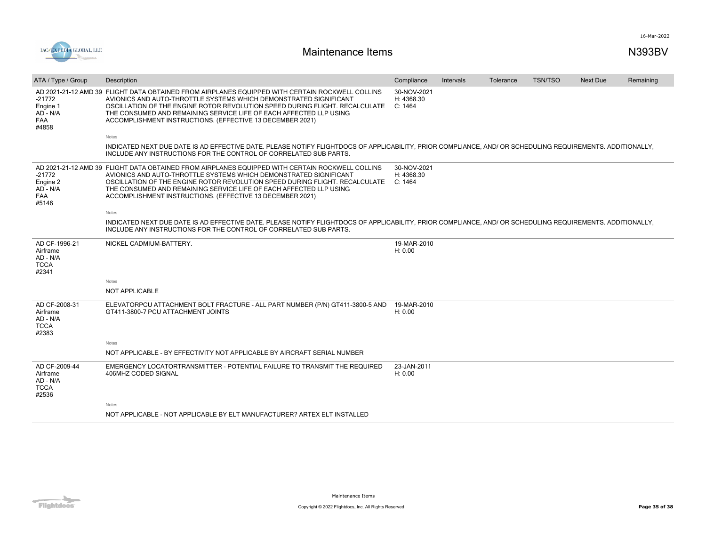

| ATA / Type / Group                                            | Description                                                                                                                                                                                                                                                                                                                                                                            | Compliance                           | Intervals | Tolerance | <b>TSN/TSO</b> | <b>Next Due</b> | Remaining |
|---------------------------------------------------------------|----------------------------------------------------------------------------------------------------------------------------------------------------------------------------------------------------------------------------------------------------------------------------------------------------------------------------------------------------------------------------------------|--------------------------------------|-----------|-----------|----------------|-----------------|-----------|
| -21772<br>Engine 1<br>AD - N/A<br><b>FAA</b><br>#4858         | AD 2021-21-12 AMD 39 FLIGHT DATA OBTAINED FROM AIRPLANES EQUIPPED WITH CERTAIN ROCKWELL COLLINS<br>AVIONICS AND AUTO-THROTTLE SYSTEMS WHICH DEMONSTRATED SIGNIFICANT<br>OSCILLATION OF THE ENGINE ROTOR REVOLUTION SPEED DURING FLIGHT. RECALCULATE<br>THE CONSUMED AND REMAINING SERVICE LIFE OF EACH AFFECTED LLP USING<br>ACCOMPLISHMENT INSTRUCTIONS. (EFFECTIVE 13 DECEMBER 2021) | 30-NOV-2021<br>H: 4368.30<br>C: 1464 |           |           |                |                 |           |
|                                                               | <b>Notes</b>                                                                                                                                                                                                                                                                                                                                                                           |                                      |           |           |                |                 |           |
|                                                               | INDICATED NEXT DUE DATE IS AD EFFECTIVE DATE. PLEASE NOTIFY FLIGHTDOCS OF APPLICABILITY, PRIOR COMPLIANCE, AND/ OR SCHEDULING REQUIREMENTS. ADDITIONALLY,<br>INCLUDE ANY INSTRUCTIONS FOR THE CONTROL OF CORRELATED SUB PARTS.                                                                                                                                                         |                                      |           |           |                |                 |           |
| $-21772$<br>Engine 2<br>AD - N/A<br><b>FAA</b><br>#5146       | AD 2021-21-12 AMD 39 FLIGHT DATA OBTAINED FROM AIRPLANES EQUIPPED WITH CERTAIN ROCKWELL COLLINS<br>AVIONICS AND AUTO-THROTTLE SYSTEMS WHICH DEMONSTRATED SIGNIFICANT<br>OSCILLATION OF THE ENGINE ROTOR REVOLUTION SPEED DURING FLIGHT. RECALCULATE<br>THE CONSUMED AND REMAINING SERVICE LIFE OF EACH AFFECTED LLP USING<br>ACCOMPLISHMENT INSTRUCTIONS. (EFFECTIVE 13 DECEMBER 2021) | 30-NOV-2021<br>H: 4368.30<br>C: 1464 |           |           |                |                 |           |
|                                                               | Notes                                                                                                                                                                                                                                                                                                                                                                                  |                                      |           |           |                |                 |           |
|                                                               | INDICATED NEXT DUE DATE IS AD EFFECTIVE DATE. PLEASE NOTIFY FLIGHTDOCS OF APPLICABILITY, PRIOR COMPLIANCE, AND/ OR SCHEDULING REQUIREMENTS. ADDITIONALLY,<br>INCLUDE ANY INSTRUCTIONS FOR THE CONTROL OF CORRELATED SUB PARTS.                                                                                                                                                         |                                      |           |           |                |                 |           |
| AD CF-1996-21<br>Airframe<br>AD - N/A<br><b>TCCA</b><br>#2341 | NICKEL CADMIUM-BATTERY.                                                                                                                                                                                                                                                                                                                                                                | 19-MAR-2010<br>H: 0.00               |           |           |                |                 |           |
|                                                               | <b>Notes</b>                                                                                                                                                                                                                                                                                                                                                                           |                                      |           |           |                |                 |           |
|                                                               | NOT APPLICABLE                                                                                                                                                                                                                                                                                                                                                                         |                                      |           |           |                |                 |           |
| AD CF-2008-31<br>Airframe<br>AD - N/A<br><b>TCCA</b><br>#2383 | ELEVATORPCU ATTACHMENT BOLT FRACTURE - ALL PART NUMBER (P/N) GT411-3800-5 AND<br>GT411-3800-7 PCU ATTACHMENT JOINTS                                                                                                                                                                                                                                                                    | 19-MAR-2010<br>H: 0.00               |           |           |                |                 |           |
|                                                               | Notes                                                                                                                                                                                                                                                                                                                                                                                  |                                      |           |           |                |                 |           |
|                                                               | NOT APPLICABLE - BY EFFECTIVITY NOT APPLICABLE BY AIRCRAFT SERIAL NUMBER                                                                                                                                                                                                                                                                                                               |                                      |           |           |                |                 |           |
| AD CF-2009-44<br>Airframe<br>AD - N/A<br><b>TCCA</b><br>#2536 | EMERGENCY LOCATORTRANSMITTER - POTENTIAL FAILURE TO TRANSMIT THE REQUIRED<br>406MHZ CODED SIGNAL                                                                                                                                                                                                                                                                                       | 23-JAN-2011<br>H: 0.00               |           |           |                |                 |           |
|                                                               | <b>Notes</b>                                                                                                                                                                                                                                                                                                                                                                           |                                      |           |           |                |                 |           |
|                                                               | NOT APPLICABLE - NOT APPLICABLE BY ELT MANUFACTURER? ARTEX ELT INSTALLED                                                                                                                                                                                                                                                                                                               |                                      |           |           |                |                 |           |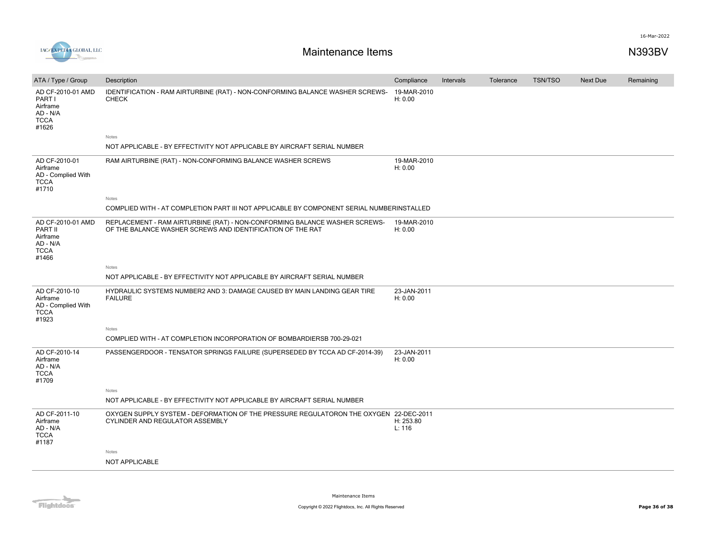

| ATA / Type / Group                                                           | Description                                                                                                                              | Compliance             | Intervals | Tolerance | <b>TSN/TSO</b> | Next Due | Remaining |
|------------------------------------------------------------------------------|------------------------------------------------------------------------------------------------------------------------------------------|------------------------|-----------|-----------|----------------|----------|-----------|
| AD CF-2010-01 AMD<br>PART I<br>Airframe<br>AD - N/A<br><b>TCCA</b><br>#1626  | IDENTIFICATION - RAM AIRTURBINE (RAT) - NON-CONFORMING BALANCE WASHER SCREWS-<br><b>CHECK</b>                                            | 19-MAR-2010<br>H: 0.00 |           |           |                |          |           |
|                                                                              | Notes                                                                                                                                    |                        |           |           |                |          |           |
|                                                                              | NOT APPLICABLE - BY EFFECTIVITY NOT APPLICABLE BY AIRCRAFT SERIAL NUMBER                                                                 |                        |           |           |                |          |           |
| AD CF-2010-01<br>Airframe<br>AD - Complied With<br><b>TCCA</b><br>#1710      | RAM AIRTURBINE (RAT) - NON-CONFORMING BALANCE WASHER SCREWS                                                                              | 19-MAR-2010<br>H: 0.00 |           |           |                |          |           |
|                                                                              | Notes                                                                                                                                    |                        |           |           |                |          |           |
|                                                                              | COMPLIED WITH - AT COMPLETION PART III NOT APPLICABLE BY COMPONENT SERIAL NUMBERINSTALLED                                                |                        |           |           |                |          |           |
| AD CF-2010-01 AMD<br>PART II<br>Airframe<br>AD - N/A<br><b>TCCA</b><br>#1466 | REPLACEMENT - RAM AIRTURBINE (RAT) - NON-CONFORMING BALANCE WASHER SCREWS-<br>OF THE BALANCE WASHER SCREWS AND IDENTIFICATION OF THE RAT | 19-MAR-2010<br>H: 0.00 |           |           |                |          |           |
|                                                                              | Notes                                                                                                                                    |                        |           |           |                |          |           |
|                                                                              | NOT APPLICABLE - BY EFFECTIVITY NOT APPLICABLE BY AIRCRAFT SERIAL NUMBER                                                                 |                        |           |           |                |          |           |
| AD CF-2010-10<br>Airframe<br>AD - Complied With<br><b>TCCA</b><br>#1923      | HYDRAULIC SYSTEMS NUMBER2 AND 3: DAMAGE CAUSED BY MAIN LANDING GEAR TIRE<br><b>FAILURE</b>                                               | 23-JAN-2011<br>H: 0.00 |           |           |                |          |           |
|                                                                              | Notes                                                                                                                                    |                        |           |           |                |          |           |
|                                                                              | COMPLIED WITH - AT COMPLETION INCORPORATION OF BOMBARDIERSB 700-29-021                                                                   |                        |           |           |                |          |           |
| AD CF-2010-14<br>Airframe<br>AD - N/A<br><b>TCCA</b><br>#1709                | PASSENGERDOOR - TENSATOR SPRINGS FAILURE (SUPERSEDED BY TCCA AD CF-2014-39)                                                              | 23-JAN-2011<br>H: 0.00 |           |           |                |          |           |
|                                                                              | Notes                                                                                                                                    |                        |           |           |                |          |           |
|                                                                              | NOT APPLICABLE - BY EFFECTIVITY NOT APPLICABLE BY AIRCRAFT SERIAL NUMBER                                                                 |                        |           |           |                |          |           |
| AD CF-2011-10<br>Airframe<br>AD - N/A<br><b>TCCA</b><br>#1187                | OXYGEN SUPPLY SYSTEM - DEFORMATION OF THE PRESSURE REGULATORON THE OXYGEN 22-DEC-2011<br>CYLINDER AND REGULATOR ASSEMBLY                 | H: 253.80<br>L: 116    |           |           |                |          |           |
|                                                                              | Notes                                                                                                                                    |                        |           |           |                |          |           |
|                                                                              | NOT APPLICABLE                                                                                                                           |                        |           |           |                |          |           |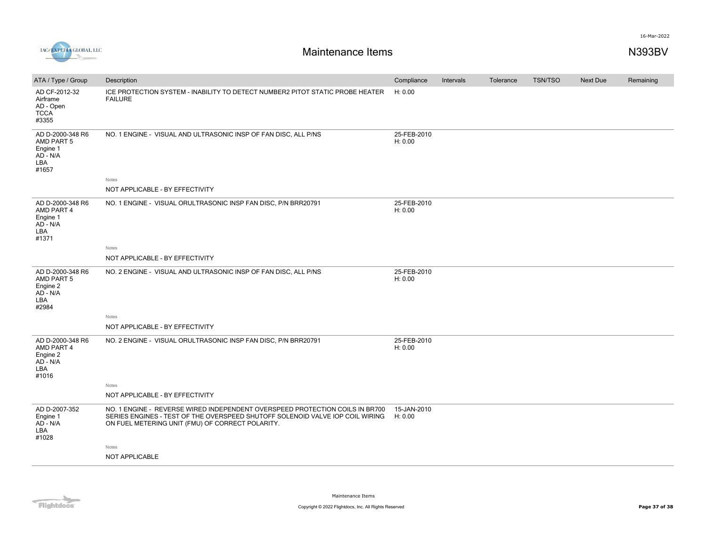



| AD CF-2012-32<br>ICE PROTECTION SYSTEM - INABILITY TO DETECT NUMBER2 PITOT STATIC PROBE HEATER<br>H: 0.00<br><b>FAILURE</b><br>Airframe<br>AD - Open<br><b>TCCA</b><br>#3355<br>25-FEB-2010<br>AD D-2000-348 R6<br>NO. 1 ENGINE - VISUAL AND ULTRASONIC INSP OF FAN DISC, ALL P/NS<br>AMD PART 5<br>H: 0.00<br>Engine 1<br>AD - N/A<br>LBA<br>#1657<br>Notes<br>NOT APPLICABLE - BY EFFECTIVITY<br>25-FEB-2010<br>AD D-2000-348 R6<br>NO. 1 ENGINE - VISUAL ORULTRASONIC INSP FAN DISC, P/N BRR20791<br>AMD PART 4<br>H: 0.00<br>Engine 1<br>AD - N/A<br>LBA<br>#1371<br>Notes<br>NOT APPLICABLE - BY EFFECTIVITY<br>25-FEB-2010<br>AD D-2000-348 R6<br>NO. 2 ENGINE - VISUAL AND ULTRASONIC INSP OF FAN DISC, ALL P/NS<br>AMD PART 5<br>H: 0.00<br>Engine 2<br>AD - N/A<br>LBA<br>#2984<br>Notes<br>NOT APPLICABLE - BY EFFECTIVITY<br>AD D-2000-348 R6<br>25-FEB-2010<br>NO. 2 ENGINE - VISUAL ORULTRASONIC INSP FAN DISC, P/N BRR20791<br>AMD PART 4<br>H: 0.00<br>Engine 2<br>AD - N/A<br>LBA<br>#1016<br>Notes<br>NOT APPLICABLE - BY EFFECTIVITY<br>AD D-2007-352<br>15-JAN-2010<br>NO. 1 ENGINE - REVERSE WIRED INDEPENDENT OVERSPEED PROTECTION COILS IN BR700<br>Engine 1<br>SERIES ENGINES - TEST OF THE OVERSPEED SHUTOFF SOLENOID VALVE IOP COIL WIRING<br>H: 0.00<br>AD - N/A<br>ON FUEL METERING UNIT (FMU) OF CORRECT POLARITY.<br>LBA<br>#1028<br>Notes<br>NOT APPLICABLE | ATA / Type / Group | Description | Compliance | Intervals | Tolerance | <b>TSN/TSO</b> | Next Due | Remaining |
|-------------------------------------------------------------------------------------------------------------------------------------------------------------------------------------------------------------------------------------------------------------------------------------------------------------------------------------------------------------------------------------------------------------------------------------------------------------------------------------------------------------------------------------------------------------------------------------------------------------------------------------------------------------------------------------------------------------------------------------------------------------------------------------------------------------------------------------------------------------------------------------------------------------------------------------------------------------------------------------------------------------------------------------------------------------------------------------------------------------------------------------------------------------------------------------------------------------------------------------------------------------------------------------------------------------------------------------------------------------------------------------------|--------------------|-------------|------------|-----------|-----------|----------------|----------|-----------|
|                                                                                                                                                                                                                                                                                                                                                                                                                                                                                                                                                                                                                                                                                                                                                                                                                                                                                                                                                                                                                                                                                                                                                                                                                                                                                                                                                                                           |                    |             |            |           |           |                |          |           |
|                                                                                                                                                                                                                                                                                                                                                                                                                                                                                                                                                                                                                                                                                                                                                                                                                                                                                                                                                                                                                                                                                                                                                                                                                                                                                                                                                                                           |                    |             |            |           |           |                |          |           |
|                                                                                                                                                                                                                                                                                                                                                                                                                                                                                                                                                                                                                                                                                                                                                                                                                                                                                                                                                                                                                                                                                                                                                                                                                                                                                                                                                                                           |                    |             |            |           |           |                |          |           |
|                                                                                                                                                                                                                                                                                                                                                                                                                                                                                                                                                                                                                                                                                                                                                                                                                                                                                                                                                                                                                                                                                                                                                                                                                                                                                                                                                                                           |                    |             |            |           |           |                |          |           |
|                                                                                                                                                                                                                                                                                                                                                                                                                                                                                                                                                                                                                                                                                                                                                                                                                                                                                                                                                                                                                                                                                                                                                                                                                                                                                                                                                                                           |                    |             |            |           |           |                |          |           |
|                                                                                                                                                                                                                                                                                                                                                                                                                                                                                                                                                                                                                                                                                                                                                                                                                                                                                                                                                                                                                                                                                                                                                                                                                                                                                                                                                                                           |                    |             |            |           |           |                |          |           |
|                                                                                                                                                                                                                                                                                                                                                                                                                                                                                                                                                                                                                                                                                                                                                                                                                                                                                                                                                                                                                                                                                                                                                                                                                                                                                                                                                                                           |                    |             |            |           |           |                |          |           |
|                                                                                                                                                                                                                                                                                                                                                                                                                                                                                                                                                                                                                                                                                                                                                                                                                                                                                                                                                                                                                                                                                                                                                                                                                                                                                                                                                                                           |                    |             |            |           |           |                |          |           |
|                                                                                                                                                                                                                                                                                                                                                                                                                                                                                                                                                                                                                                                                                                                                                                                                                                                                                                                                                                                                                                                                                                                                                                                                                                                                                                                                                                                           |                    |             |            |           |           |                |          |           |
|                                                                                                                                                                                                                                                                                                                                                                                                                                                                                                                                                                                                                                                                                                                                                                                                                                                                                                                                                                                                                                                                                                                                                                                                                                                                                                                                                                                           |                    |             |            |           |           |                |          |           |
|                                                                                                                                                                                                                                                                                                                                                                                                                                                                                                                                                                                                                                                                                                                                                                                                                                                                                                                                                                                                                                                                                                                                                                                                                                                                                                                                                                                           |                    |             |            |           |           |                |          |           |
|                                                                                                                                                                                                                                                                                                                                                                                                                                                                                                                                                                                                                                                                                                                                                                                                                                                                                                                                                                                                                                                                                                                                                                                                                                                                                                                                                                                           |                    |             |            |           |           |                |          |           |
|                                                                                                                                                                                                                                                                                                                                                                                                                                                                                                                                                                                                                                                                                                                                                                                                                                                                                                                                                                                                                                                                                                                                                                                                                                                                                                                                                                                           |                    |             |            |           |           |                |          |           |
|                                                                                                                                                                                                                                                                                                                                                                                                                                                                                                                                                                                                                                                                                                                                                                                                                                                                                                                                                                                                                                                                                                                                                                                                                                                                                                                                                                                           |                    |             |            |           |           |                |          |           |
|                                                                                                                                                                                                                                                                                                                                                                                                                                                                                                                                                                                                                                                                                                                                                                                                                                                                                                                                                                                                                                                                                                                                                                                                                                                                                                                                                                                           |                    |             |            |           |           |                |          |           |
|                                                                                                                                                                                                                                                                                                                                                                                                                                                                                                                                                                                                                                                                                                                                                                                                                                                                                                                                                                                                                                                                                                                                                                                                                                                                                                                                                                                           |                    |             |            |           |           |                |          |           |